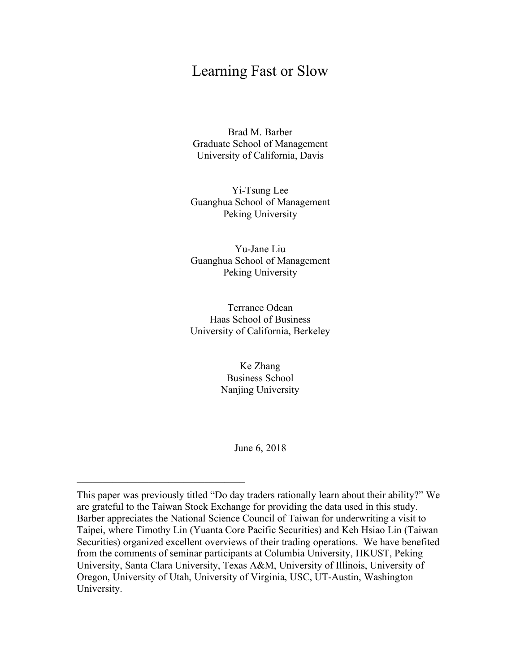# Learning Fast or Slow

Brad M. Barber Graduate School of Management University of California, Davis

Yi-Tsung Lee Guanghua School of Management Peking University

Yu-Jane Liu Guanghua School of Management Peking University

Terrance Odean Haas School of Business University of California, Berkeley

> Ke Zhang Business School Nanjing University

> > June 6, 2018

\_\_\_\_\_\_\_\_\_\_\_\_\_\_\_\_\_\_\_\_\_\_\_\_\_\_\_\_\_\_\_\_\_

This paper was previously titled "Do day traders rationally learn about their ability?" We are grateful to the Taiwan Stock Exchange for providing the data used in this study. Barber appreciates the National Science Council of Taiwan for underwriting a visit to Taipei, where Timothy Lin (Yuanta Core Pacific Securities) and Keh Hsiao Lin (Taiwan Securities) organized excellent overviews of their trading operations. We have benefited from the comments of seminar participants at Columbia University, HKUST, Peking University, Santa Clara University, Texas A&M, University of Illinois, University of Oregon, University of Utah, University of Virginia, USC, UT-Austin, Washington University.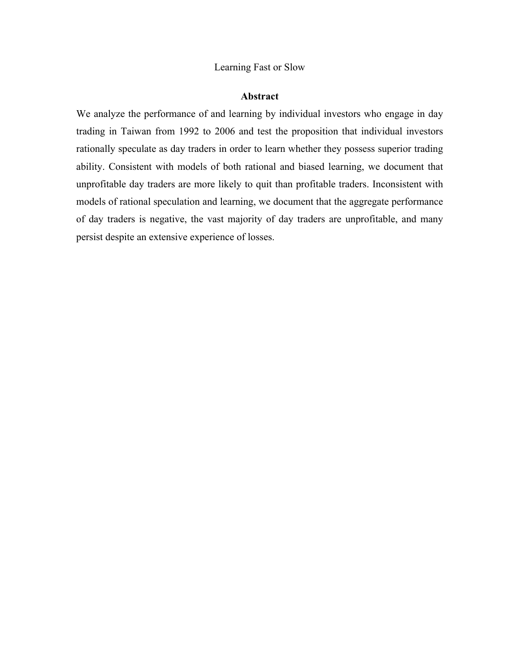#### Learning Fast or Slow

#### **Abstract**

We analyze the performance of and learning by individual investors who engage in day trading in Taiwan from 1992 to 2006 and test the proposition that individual investors rationally speculate as day traders in order to learn whether they possess superior trading ability. Consistent with models of both rational and biased learning, we document that unprofitable day traders are more likely to quit than profitable traders. Inconsistent with models of rational speculation and learning, we document that the aggregate performance of day traders is negative, the vast majority of day traders are unprofitable, and many persist despite an extensive experience of losses.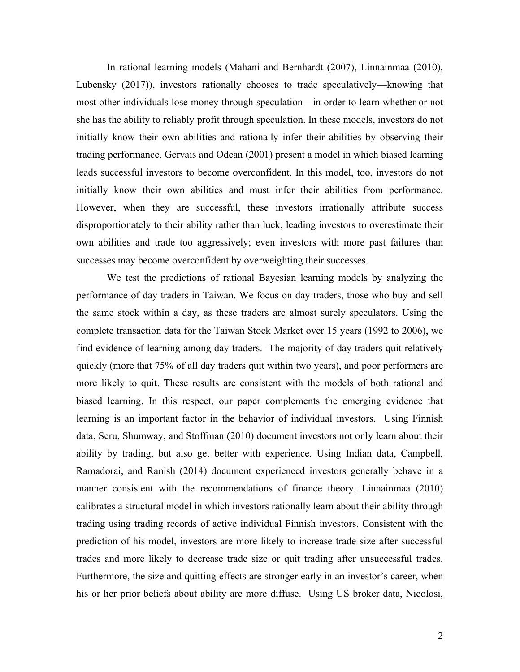In rational learning models (Mahani and Bernhardt (2007), Linnainmaa (2010), Lubensky (2017)), investors rationally chooses to trade speculatively—knowing that most other individuals lose money through speculation—in order to learn whether or not she has the ability to reliably profit through speculation. In these models, investors do not initially know their own abilities and rationally infer their abilities by observing their trading performance. Gervais and Odean (2001) present a model in which biased learning leads successful investors to become overconfident. In this model, too, investors do not initially know their own abilities and must infer their abilities from performance. However, when they are successful, these investors irrationally attribute success disproportionately to their ability rather than luck, leading investors to overestimate their own abilities and trade too aggressively; even investors with more past failures than successes may become overconfident by overweighting their successes.

We test the predictions of rational Bayesian learning models by analyzing the performance of day traders in Taiwan. We focus on day traders, those who buy and sell the same stock within a day, as these traders are almost surely speculators. Using the complete transaction data for the Taiwan Stock Market over 15 years (1992 to 2006), we find evidence of learning among day traders. The majority of day traders quit relatively quickly (more that 75% of all day traders quit within two years), and poor performers are more likely to quit. These results are consistent with the models of both rational and biased learning. In this respect, our paper complements the emerging evidence that learning is an important factor in the behavior of individual investors. Using Finnish data, Seru, Shumway, and Stoffman (2010) document investors not only learn about their ability by trading, but also get better with experience. Using Indian data, Campbell, Ramadorai, and Ranish (2014) document experienced investors generally behave in a manner consistent with the recommendations of finance theory. Linnainmaa (2010) calibrates a structural model in which investors rationally learn about their ability through trading using trading records of active individual Finnish investors. Consistent with the prediction of his model, investors are more likely to increase trade size after successful trades and more likely to decrease trade size or quit trading after unsuccessful trades. Furthermore, the size and quitting effects are stronger early in an investor's career, when his or her prior beliefs about ability are more diffuse. Using US broker data, Nicolosi,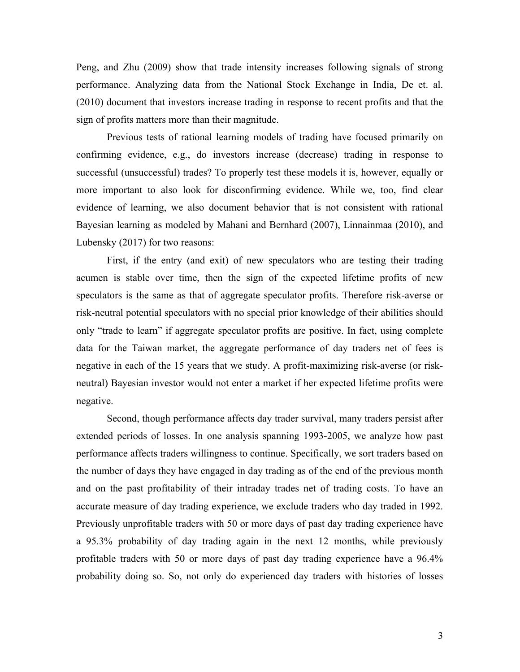Peng, and Zhu (2009) show that trade intensity increases following signals of strong performance. Analyzing data from the National Stock Exchange in India, De et. al. (2010) document that investors increase trading in response to recent profits and that the sign of profits matters more than their magnitude.

Previous tests of rational learning models of trading have focused primarily on confirming evidence, e.g., do investors increase (decrease) trading in response to successful (unsuccessful) trades? To properly test these models it is, however, equally or more important to also look for disconfirming evidence. While we, too, find clear evidence of learning, we also document behavior that is not consistent with rational Bayesian learning as modeled by Mahani and Bernhard (2007), Linnainmaa (2010), and Lubensky (2017) for two reasons:

First, if the entry (and exit) of new speculators who are testing their trading acumen is stable over time, then the sign of the expected lifetime profits of new speculators is the same as that of aggregate speculator profits. Therefore risk-averse or risk-neutral potential speculators with no special prior knowledge of their abilities should only "trade to learn" if aggregate speculator profits are positive. In fact, using complete data for the Taiwan market, the aggregate performance of day traders net of fees is negative in each of the 15 years that we study. A profit-maximizing risk-averse (or riskneutral) Bayesian investor would not enter a market if her expected lifetime profits were negative.

Second, though performance affects day trader survival, many traders persist after extended periods of losses. In one analysis spanning 1993-2005, we analyze how past performance affects traders willingness to continue. Specifically, we sort traders based on the number of days they have engaged in day trading as of the end of the previous month and on the past profitability of their intraday trades net of trading costs. To have an accurate measure of day trading experience, we exclude traders who day traded in 1992. Previously unprofitable traders with 50 or more days of past day trading experience have a 95.3% probability of day trading again in the next 12 months, while previously profitable traders with 50 or more days of past day trading experience have a 96.4% probability doing so. So, not only do experienced day traders with histories of losses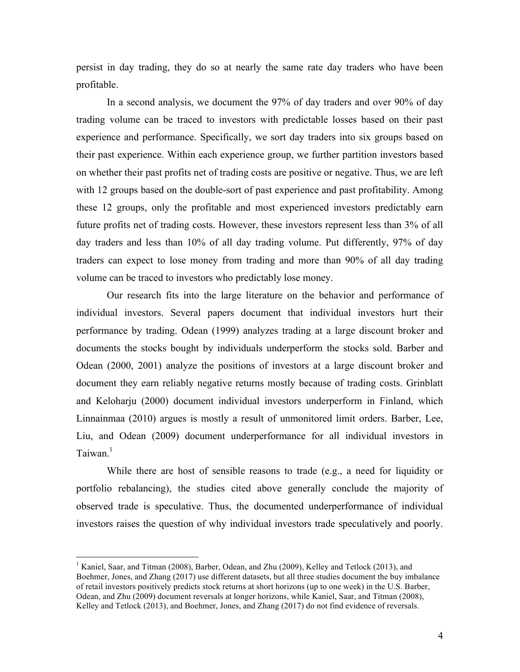persist in day trading, they do so at nearly the same rate day traders who have been profitable.

In a second analysis, we document the 97% of day traders and over 90% of day trading volume can be traced to investors with predictable losses based on their past experience and performance. Specifically, we sort day traders into six groups based on their past experience. Within each experience group, we further partition investors based on whether their past profits net of trading costs are positive or negative. Thus, we are left with 12 groups based on the double-sort of past experience and past profitability. Among these 12 groups, only the profitable and most experienced investors predictably earn future profits net of trading costs. However, these investors represent less than 3% of all day traders and less than 10% of all day trading volume. Put differently, 97% of day traders can expect to lose money from trading and more than 90% of all day trading volume can be traced to investors who predictably lose money.

Our research fits into the large literature on the behavior and performance of individual investors. Several papers document that individual investors hurt their performance by trading. Odean (1999) analyzes trading at a large discount broker and documents the stocks bought by individuals underperform the stocks sold. Barber and Odean (2000, 2001) analyze the positions of investors at a large discount broker and document they earn reliably negative returns mostly because of trading costs. Grinblatt and Keloharju (2000) document individual investors underperform in Finland, which Linnainmaa (2010) argues is mostly a result of unmonitored limit orders. Barber, Lee, Liu, and Odean (2009) document underperformance for all individual investors in Taiwan.<sup>1</sup>

While there are host of sensible reasons to trade (e.g., a need for liquidity or portfolio rebalancing), the studies cited above generally conclude the majority of observed trade is speculative. Thus, the documented underperformance of individual investors raises the question of why individual investors trade speculatively and poorly.

<sup>&</sup>lt;sup>1</sup> Kaniel, Saar, and Titman (2008), Barber, Odean, and Zhu (2009), Kelley and Tetlock (2013), and Boehmer, Jones, and Zhang (2017) use different datasets, but all three studies document the buy imbalance of retail investors positively predicts stock returns at short horizons (up to one week) in the U.S. Barber, Odean, and Zhu (2009) document reversals at longer horizons, while Kaniel, Saar, and Titman (2008), Kelley and Tetlock (2013), and Boehmer, Jones, and Zhang (2017) do not find evidence of reversals.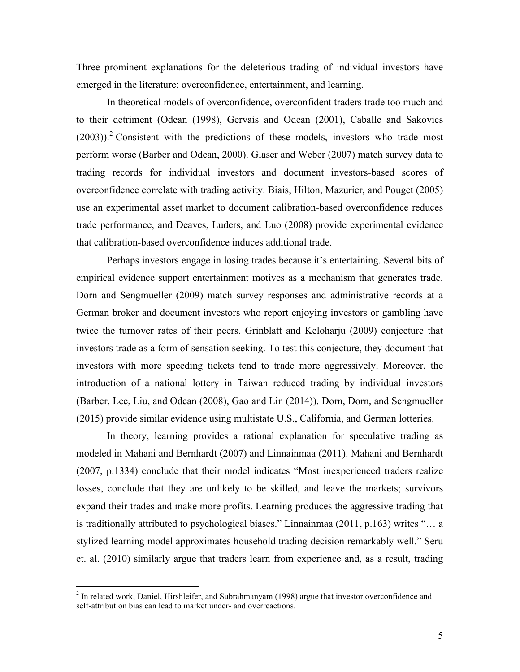Three prominent explanations for the deleterious trading of individual investors have emerged in the literature: overconfidence, entertainment, and learning.

In theoretical models of overconfidence, overconfident traders trade too much and to their detriment (Odean (1998), Gervais and Odean (2001), Caballe and Sakovics  $(2003)$ .<sup>2</sup> Consistent with the predictions of these models, investors who trade most perform worse (Barber and Odean, 2000). Glaser and Weber (2007) match survey data to trading records for individual investors and document investors-based scores of overconfidence correlate with trading activity. Biais, Hilton, Mazurier, and Pouget (2005) use an experimental asset market to document calibration-based overconfidence reduces trade performance, and Deaves, Luders, and Luo (2008) provide experimental evidence that calibration-based overconfidence induces additional trade.

Perhaps investors engage in losing trades because it's entertaining. Several bits of empirical evidence support entertainment motives as a mechanism that generates trade. Dorn and Sengmueller (2009) match survey responses and administrative records at a German broker and document investors who report enjoying investors or gambling have twice the turnover rates of their peers. Grinblatt and Keloharju (2009) conjecture that investors trade as a form of sensation seeking. To test this conjecture, they document that investors with more speeding tickets tend to trade more aggressively. Moreover, the introduction of a national lottery in Taiwan reduced trading by individual investors (Barber, Lee, Liu, and Odean (2008), Gao and Lin (2014)). Dorn, Dorn, and Sengmueller (2015) provide similar evidence using multistate U.S., California, and German lotteries.

In theory, learning provides a rational explanation for speculative trading as modeled in Mahani and Bernhardt (2007) and Linnainmaa (2011). Mahani and Bernhardt (2007, p.1334) conclude that their model indicates "Most inexperienced traders realize losses, conclude that they are unlikely to be skilled, and leave the markets; survivors expand their trades and make more profits. Learning produces the aggressive trading that is traditionally attributed to psychological biases." Linnainmaa (2011, p.163) writes "… a stylized learning model approximates household trading decision remarkably well." Seru et. al. (2010) similarly argue that traders learn from experience and, as a result, trading

 $2$  In related work, Daniel, Hirshleifer, and Subrahmanyam (1998) argue that investor overconfidence and self-attribution bias can lead to market under- and overreactions.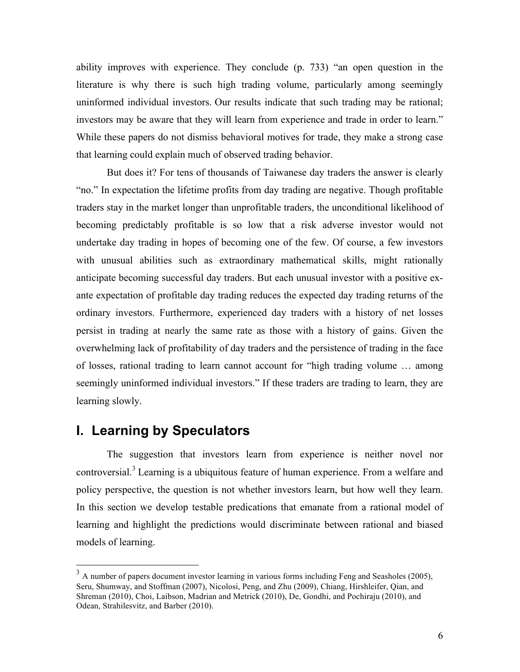ability improves with experience. They conclude (p. 733) "an open question in the literature is why there is such high trading volume, particularly among seemingly uninformed individual investors. Our results indicate that such trading may be rational; investors may be aware that they will learn from experience and trade in order to learn." While these papers do not dismiss behavioral motives for trade, they make a strong case that learning could explain much of observed trading behavior.

But does it? For tens of thousands of Taiwanese day traders the answer is clearly "no." In expectation the lifetime profits from day trading are negative. Though profitable traders stay in the market longer than unprofitable traders, the unconditional likelihood of becoming predictably profitable is so low that a risk adverse investor would not undertake day trading in hopes of becoming one of the few. Of course, a few investors with unusual abilities such as extraordinary mathematical skills, might rationally anticipate becoming successful day traders. But each unusual investor with a positive exante expectation of profitable day trading reduces the expected day trading returns of the ordinary investors. Furthermore, experienced day traders with a history of net losses persist in trading at nearly the same rate as those with a history of gains. Given the overwhelming lack of profitability of day traders and the persistence of trading in the face of losses, rational trading to learn cannot account for "high trading volume … among seemingly uninformed individual investors." If these traders are trading to learn, they are learning slowly.

# **I. Learning by Speculators**

The suggestion that investors learn from experience is neither novel nor controversial.<sup>3</sup> Learning is a ubiquitous feature of human experience. From a welfare and policy perspective, the question is not whether investors learn, but how well they learn. In this section we develop testable predications that emanate from a rational model of learning and highlight the predictions would discriminate between rational and biased models of learning.

<sup>&</sup>lt;sup>3</sup> A number of papers document investor learning in various forms including Feng and Seasholes (2005), Seru, Shumway, and Stoffman (2007), Nicolosi, Peng, and Zhu (2009), Chiang, Hirshleifer, Qian, and Shreman (2010), Choi, Laibson, Madrian and Metrick (2010), De, Gondhi, and Pochiraju (2010), and Odean, Strahilesvitz, and Barber (2010).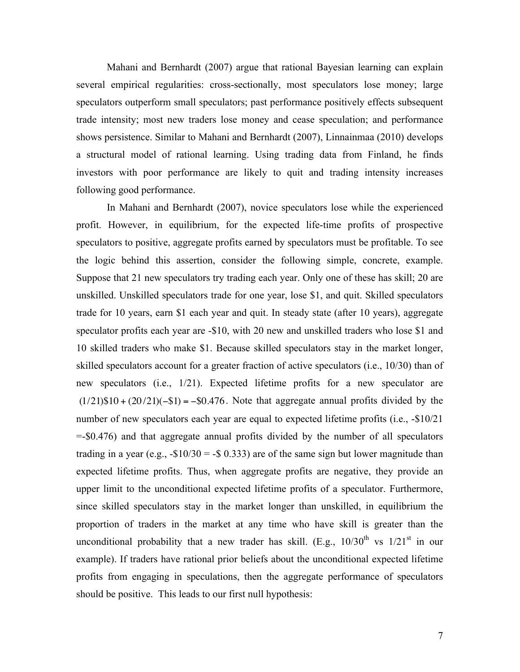Mahani and Bernhardt (2007) argue that rational Bayesian learning can explain several empirical regularities: cross-sectionally, most speculators lose money; large speculators outperform small speculators; past performance positively effects subsequent trade intensity; most new traders lose money and cease speculation; and performance shows persistence. Similar to Mahani and Bernhardt (2007), Linnainmaa (2010) develops a structural model of rational learning. Using trading data from Finland, he finds investors with poor performance are likely to quit and trading intensity increases following good performance.

In Mahani and Bernhardt (2007), novice speculators lose while the experienced profit. However, in equilibrium, for the expected life-time profits of prospective speculators to positive, aggregate profits earned by speculators must be profitable. To see the logic behind this assertion, consider the following simple, concrete, example. Suppose that 21 new speculators try trading each year. Only one of these has skill; 20 are unskilled. Unskilled speculators trade for one year, lose \$1, and quit. Skilled speculators trade for 10 years, earn \$1 each year and quit. In steady state (after 10 years), aggregate speculator profits each year are -\$10, with 20 new and unskilled traders who lose \$1 and 10 skilled traders who make \$1. Because skilled speculators stay in the market longer, skilled speculators account for a greater fraction of active speculators (i.e., 10/30) than of new speculators (i.e., 1/21). Expected lifetime profits for a new speculator are  $(1/21)\$10 + (20/21)(-\$1) = -\$0.476$ . Note that aggregate annual profits divided by the number of new speculators each year are equal to expected lifetime profits (i.e., -\$10/21 =-\$0.476) and that aggregate annual profits divided by the number of all speculators trading in a year (e.g.,  $-\$10/30 = -\$0.333$ ) are of the same sign but lower magnitude than expected lifetime profits. Thus, when aggregate profits are negative, they provide an upper limit to the unconditional expected lifetime profits of a speculator. Furthermore, since skilled speculators stay in the market longer than unskilled, in equilibrium the proportion of traders in the market at any time who have skill is greater than the unconditional probability that a new trader has skill. (E.g.,  $10/30^{th}$  vs  $1/21^{st}$  in our example). If traders have rational prior beliefs about the unconditional expected lifetime profits from engaging in speculations, then the aggregate performance of speculators should be positive. This leads to our first null hypothesis: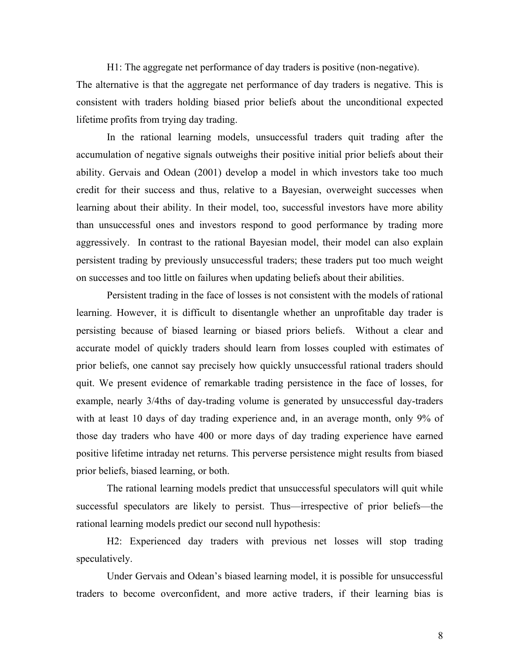H1: The aggregate net performance of day traders is positive (non-negative). The alternative is that the aggregate net performance of day traders is negative. This is consistent with traders holding biased prior beliefs about the unconditional expected lifetime profits from trying day trading.

In the rational learning models, unsuccessful traders quit trading after the accumulation of negative signals outweighs their positive initial prior beliefs about their ability. Gervais and Odean (2001) develop a model in which investors take too much credit for their success and thus, relative to a Bayesian, overweight successes when learning about their ability. In their model, too, successful investors have more ability than unsuccessful ones and investors respond to good performance by trading more aggressively. In contrast to the rational Bayesian model, their model can also explain persistent trading by previously unsuccessful traders; these traders put too much weight on successes and too little on failures when updating beliefs about their abilities.

Persistent trading in the face of losses is not consistent with the models of rational learning. However, it is difficult to disentangle whether an unprofitable day trader is persisting because of biased learning or biased priors beliefs. Without a clear and accurate model of quickly traders should learn from losses coupled with estimates of prior beliefs, one cannot say precisely how quickly unsuccessful rational traders should quit. We present evidence of remarkable trading persistence in the face of losses, for example, nearly 3/4ths of day-trading volume is generated by unsuccessful day-traders with at least 10 days of day trading experience and, in an average month, only 9% of those day traders who have 400 or more days of day trading experience have earned positive lifetime intraday net returns. This perverse persistence might results from biased prior beliefs, biased learning, or both.

The rational learning models predict that unsuccessful speculators will quit while successful speculators are likely to persist. Thus—irrespective of prior beliefs—the rational learning models predict our second null hypothesis:

H2: Experienced day traders with previous net losses will stop trading speculatively.

Under Gervais and Odean's biased learning model, it is possible for unsuccessful traders to become overconfident, and more active traders, if their learning bias is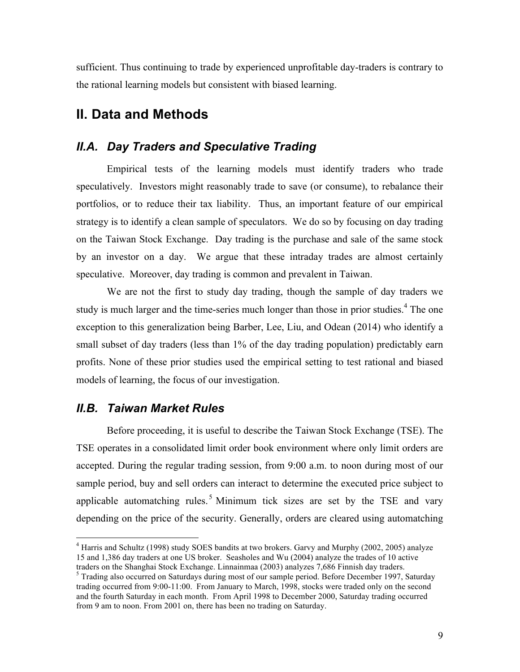sufficient. Thus continuing to trade by experienced unprofitable day-traders is contrary to the rational learning models but consistent with biased learning.

## **II. Data and Methods**

### *II.A. Day Traders and Speculative Trading*

Empirical tests of the learning models must identify traders who trade speculatively. Investors might reasonably trade to save (or consume), to rebalance their portfolios, or to reduce their tax liability. Thus, an important feature of our empirical strategy is to identify a clean sample of speculators. We do so by focusing on day trading on the Taiwan Stock Exchange. Day trading is the purchase and sale of the same stock by an investor on a day. We argue that these intraday trades are almost certainly speculative. Moreover, day trading is common and prevalent in Taiwan.

We are not the first to study day trading, though the sample of day traders we study is much larger and the time-series much longer than those in prior studies.<sup>4</sup> The one exception to this generalization being Barber, Lee, Liu, and Odean (2014) who identify a small subset of day traders (less than 1% of the day trading population) predictably earn profits. None of these prior studies used the empirical setting to test rational and biased models of learning, the focus of our investigation.

#### *II.B. Taiwan Market Rules*

Before proceeding, it is useful to describe the Taiwan Stock Exchange (TSE). The TSE operates in a consolidated limit order book environment where only limit orders are accepted. During the regular trading session, from 9:00 a.m. to noon during most of our sample period, buy and sell orders can interact to determine the executed price subject to applicable automatching rules.<sup>5</sup> Minimum tick sizes are set by the TSE and vary depending on the price of the security. Generally, orders are cleared using automatching

 $<sup>4</sup>$  Harris and Schultz (1998) study SOES bandits at two brokers. Garvy and Murphy (2002, 2005) analyze</sup> 15 and 1,386 day traders at one US broker. Seasholes and Wu (2004) analyze the trades of 10 active traders on the Shanghai Stock Exchange. Linnainmaa (2003) analyzes 7,686 Finnish day traders.

 $<sup>5</sup>$  Trading also occurred on Saturdays during most of our sample period. Before December 1997, Saturday</sup> trading occurred from 9:00-11:00. From January to March, 1998, stocks were traded only on the second and the fourth Saturday in each month. From April 1998 to December 2000, Saturday trading occurred from 9 am to noon. From 2001 on, there has been no trading on Saturday.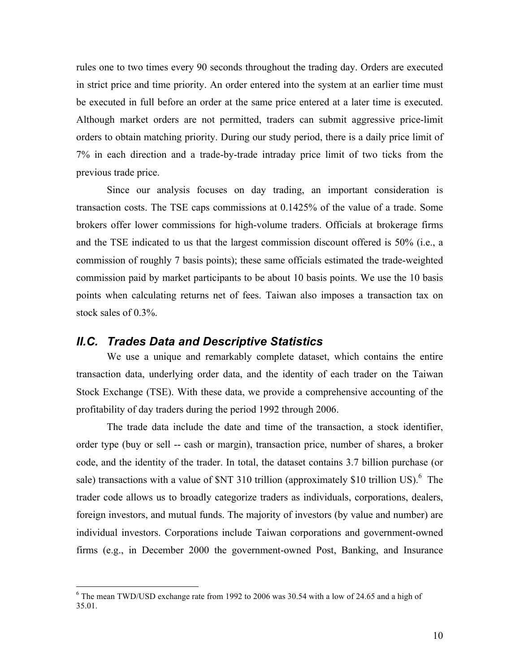rules one to two times every 90 seconds throughout the trading day. Orders are executed in strict price and time priority. An order entered into the system at an earlier time must be executed in full before an order at the same price entered at a later time is executed. Although market orders are not permitted, traders can submit aggressive price-limit orders to obtain matching priority. During our study period, there is a daily price limit of 7% in each direction and a trade-by-trade intraday price limit of two ticks from the previous trade price.

Since our analysis focuses on day trading, an important consideration is transaction costs. The TSE caps commissions at 0.1425% of the value of a trade. Some brokers offer lower commissions for high-volume traders. Officials at brokerage firms and the TSE indicated to us that the largest commission discount offered is 50% (i.e., a commission of roughly 7 basis points); these same officials estimated the trade-weighted commission paid by market participants to be about 10 basis points. We use the 10 basis points when calculating returns net of fees. Taiwan also imposes a transaction tax on stock sales of 0.3%.

#### *II.C. Trades Data and Descriptive Statistics*

We use a unique and remarkably complete dataset, which contains the entire transaction data, underlying order data, and the identity of each trader on the Taiwan Stock Exchange (TSE). With these data, we provide a comprehensive accounting of the profitability of day traders during the period 1992 through 2006.

The trade data include the date and time of the transaction, a stock identifier, order type (buy or sell -- cash or margin), transaction price, number of shares, a broker code, and the identity of the trader. In total, the dataset contains 3.7 billion purchase (or sale) transactions with a value of  $NT$  310 trillion (approximately \$10 trillion US).<sup>6</sup> The trader code allows us to broadly categorize traders as individuals, corporations, dealers, foreign investors, and mutual funds. The majority of investors (by value and number) are individual investors. Corporations include Taiwan corporations and government-owned firms (e.g., in December 2000 the government-owned Post, Banking, and Insurance

 $6$  The mean TWD/USD exchange rate from 1992 to 2006 was 30.54 with a low of 24.65 and a high of 35.01.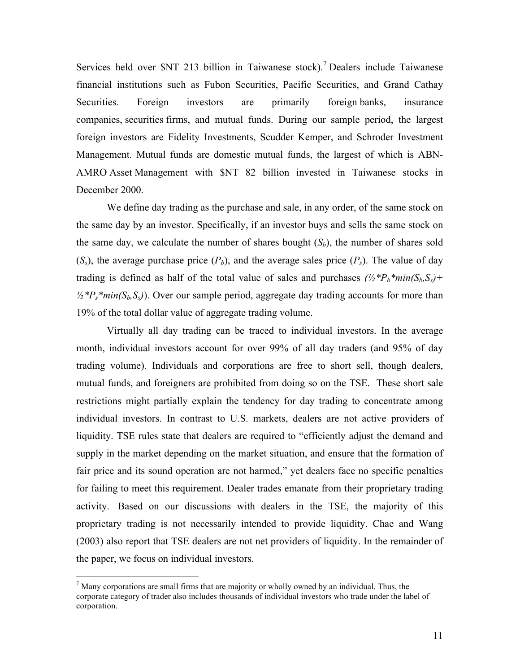Services held over \$NT 213 billion in Taiwanese stock).<sup>7</sup> Dealers include Taiwanese financial institutions such as Fubon Securities, Pacific Securities, and Grand Cathay Securities. Foreign investors are primarily foreign banks, insurance companies, securities firms, and mutual funds. During our sample period, the largest foreign investors are Fidelity Investments, Scudder Kemper, and Schroder Investment Management. Mutual funds are domestic mutual funds, the largest of which is ABN-AMRO Asset Management with \$NT 82 billion invested in Taiwanese stocks in December 2000.

We define day trading as the purchase and sale, in any order, of the same stock on the same day by an investor. Specifically, if an investor buys and sells the same stock on the same day, we calculate the number of shares bought  $(S_b)$ , the number of shares sold  $(S<sub>s</sub>)$ , the average purchase price  $(P<sub>b</sub>)$ , and the average sales price  $(P<sub>s</sub>)$ . The value of day trading is defined as half of the total value of sales and purchases  $\frac{1}{2}$ <sup>\*</sup>*P<sub>b</sub>*\**min*(S<sub>b</sub>, S<sub>s</sub>)+  $\frac{1}{2}$ <sup>\*</sup>*P<sub>s</sub>*\**min*(*S<sub>b</sub>*, *S<sub>s</sub>*)). Over our sample period, aggregate day trading accounts for more than 19% of the total dollar value of aggregate trading volume.

Virtually all day trading can be traced to individual investors. In the average month, individual investors account for over 99% of all day traders (and 95% of day trading volume). Individuals and corporations are free to short sell, though dealers, mutual funds, and foreigners are prohibited from doing so on the TSE. These short sale restrictions might partially explain the tendency for day trading to concentrate among individual investors. In contrast to U.S. markets, dealers are not active providers of liquidity. TSE rules state that dealers are required to "efficiently adjust the demand and supply in the market depending on the market situation, and ensure that the formation of fair price and its sound operation are not harmed," yet dealers face no specific penalties for failing to meet this requirement. Dealer trades emanate from their proprietary trading activity. Based on our discussions with dealers in the TSE, the majority of this proprietary trading is not necessarily intended to provide liquidity. Chae and Wang (2003) also report that TSE dealers are not net providers of liquidity. In the remainder of the paper, we focus on individual investors.

 $<sup>7</sup>$  Many corporations are small firms that are majority or wholly owned by an individual. Thus, the</sup> corporate category of trader also includes thousands of individual investors who trade under the label of corporation.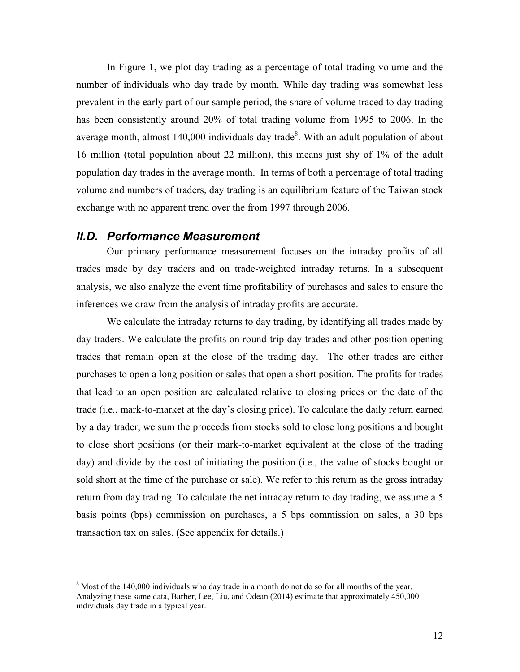In Figure 1, we plot day trading as a percentage of total trading volume and the number of individuals who day trade by month. While day trading was somewhat less prevalent in the early part of our sample period, the share of volume traced to day trading has been consistently around 20% of total trading volume from 1995 to 2006. In the average month, almost  $140,000$  individuals day trade<sup>8</sup>. With an adult population of about 16 million (total population about 22 million), this means just shy of 1% of the adult population day trades in the average month. In terms of both a percentage of total trading volume and numbers of traders, day trading is an equilibrium feature of the Taiwan stock exchange with no apparent trend over the from 1997 through 2006.

#### *II.D. Performance Measurement*

Our primary performance measurement focuses on the intraday profits of all trades made by day traders and on trade-weighted intraday returns. In a subsequent analysis, we also analyze the event time profitability of purchases and sales to ensure the inferences we draw from the analysis of intraday profits are accurate.

We calculate the intraday returns to day trading, by identifying all trades made by day traders. We calculate the profits on round-trip day trades and other position opening trades that remain open at the close of the trading day. The other trades are either purchases to open a long position or sales that open a short position. The profits for trades that lead to an open position are calculated relative to closing prices on the date of the trade (i.e., mark-to-market at the day's closing price). To calculate the daily return earned by a day trader, we sum the proceeds from stocks sold to close long positions and bought to close short positions (or their mark-to-market equivalent at the close of the trading day) and divide by the cost of initiating the position (i.e., the value of stocks bought or sold short at the time of the purchase or sale). We refer to this return as the gross intraday return from day trading. To calculate the net intraday return to day trading, we assume a 5 basis points (bps) commission on purchases, a 5 bps commission on sales, a 30 bps transaction tax on sales. (See appendix for details.)

 $8$  Most of the 140,000 individuals who day trade in a month do not do so for all months of the year. Analyzing these same data, Barber, Lee, Liu, and Odean (2014) estimate that approximately 450,000 individuals day trade in a typical year.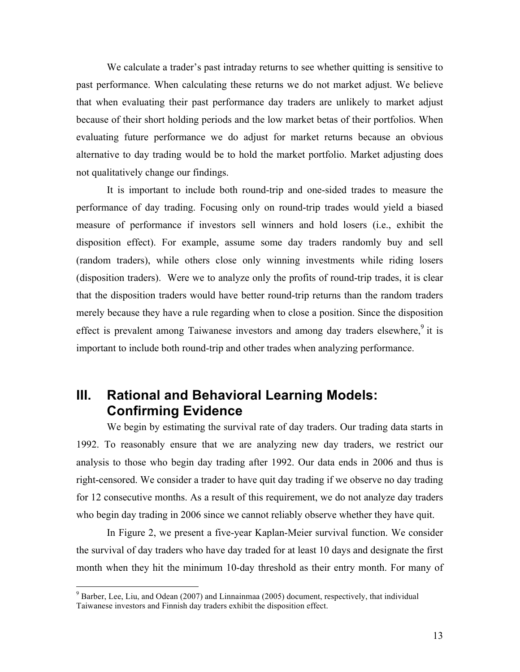We calculate a trader's past intraday returns to see whether quitting is sensitive to past performance. When calculating these returns we do not market adjust. We believe that when evaluating their past performance day traders are unlikely to market adjust because of their short holding periods and the low market betas of their portfolios. When evaluating future performance we do adjust for market returns because an obvious alternative to day trading would be to hold the market portfolio. Market adjusting does not qualitatively change our findings.

It is important to include both round-trip and one-sided trades to measure the performance of day trading. Focusing only on round-trip trades would yield a biased measure of performance if investors sell winners and hold losers (i.e., exhibit the disposition effect). For example, assume some day traders randomly buy and sell (random traders), while others close only winning investments while riding losers (disposition traders). Were we to analyze only the profits of round-trip trades, it is clear that the disposition traders would have better round-trip returns than the random traders merely because they have a rule regarding when to close a position. Since the disposition effect is prevalent among Taiwanese investors and among day traders elsewhere,<sup>9</sup> it is important to include both round-trip and other trades when analyzing performance.

# **III. Rational and Behavioral Learning Models: Confirming Evidence**

We begin by estimating the survival rate of day traders. Our trading data starts in 1992. To reasonably ensure that we are analyzing new day traders, we restrict our analysis to those who begin day trading after 1992. Our data ends in 2006 and thus is right-censored. We consider a trader to have quit day trading if we observe no day trading for 12 consecutive months. As a result of this requirement, we do not analyze day traders who begin day trading in 2006 since we cannot reliably observe whether they have quit.

In Figure 2, we present a five-year Kaplan-Meier survival function. We consider the survival of day traders who have day traded for at least 10 days and designate the first month when they hit the minimum 10-day threshold as their entry month. For many of

 $9^9$  Barber, Lee, Liu, and Odean (2007) and Linnainmaa (2005) document, respectively, that individual Taiwanese investors and Finnish day traders exhibit the disposition effect.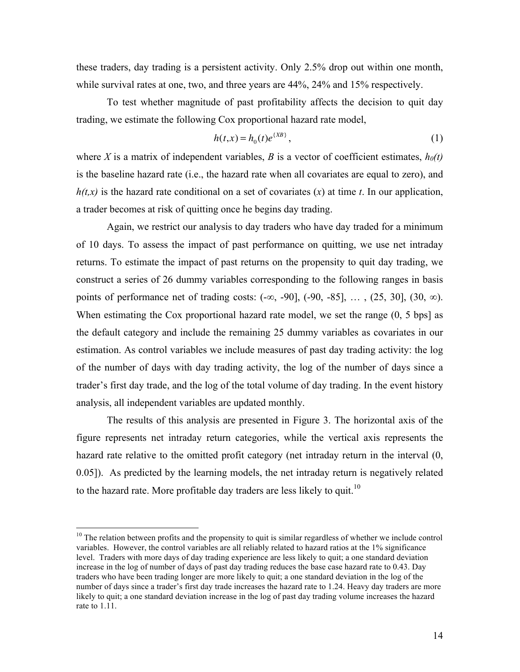these traders, day trading is a persistent activity. Only 2.5% drop out within one month, while survival rates at one, two, and three years are  $44\%$ ,  $24\%$  and  $15\%$  respectively.

To test whether magnitude of past profitability affects the decision to quit day trading, we estimate the following Cox proportional hazard rate model,

$$
h(t,x) = h_0(t)e^{\{XB\}},
$$
 (1)

where *X* is a matrix of independent variables, *B* is a vector of coefficient estimates,  $h_0(t)$ is the baseline hazard rate (i.e., the hazard rate when all covariates are equal to zero), and *h(t,x)* is the hazard rate conditional on a set of covariates (*x*) at time *t*. In our application, a trader becomes at risk of quitting once he begins day trading.

Again, we restrict our analysis to day traders who have day traded for a minimum of 10 days. To assess the impact of past performance on quitting, we use net intraday returns. To estimate the impact of past returns on the propensity to quit day trading, we construct a series of 26 dummy variables corresponding to the following ranges in basis points of performance net of trading costs:  $(-\infty, -90]$ ,  $(-90, -85]$ , ...,  $(25, 30]$ ,  $(30, \infty)$ . When estimating the Cox proportional hazard rate model, we set the range  $(0, 5 \text{ bps})$  as the default category and include the remaining 25 dummy variables as covariates in our estimation. As control variables we include measures of past day trading activity: the log of the number of days with day trading activity, the log of the number of days since a trader's first day trade, and the log of the total volume of day trading. In the event history analysis, all independent variables are updated monthly.

The results of this analysis are presented in Figure 3. The horizontal axis of the figure represents net intraday return categories, while the vertical axis represents the hazard rate relative to the omitted profit category (net intraday return in the interval  $(0, 1)$ 0.05]). As predicted by the learning models, the net intraday return is negatively related to the hazard rate. More profitable day traders are less likely to quit.<sup>10</sup>

<sup>&</sup>lt;sup>10</sup> The relation between profits and the propensity to quit is similar regardless of whether we include control variables. However, the control variables are all reliably related to hazard ratios at the 1% significance level. Traders with more days of day trading experience are less likely to quit; a one standard deviation increase in the log of number of days of past day trading reduces the base case hazard rate to 0.43. Day traders who have been trading longer are more likely to quit; a one standard deviation in the log of the number of days since a trader's first day trade increases the hazard rate to 1.24. Heavy day traders are more likely to quit; a one standard deviation increase in the log of past day trading volume increases the hazard rate to 1.11.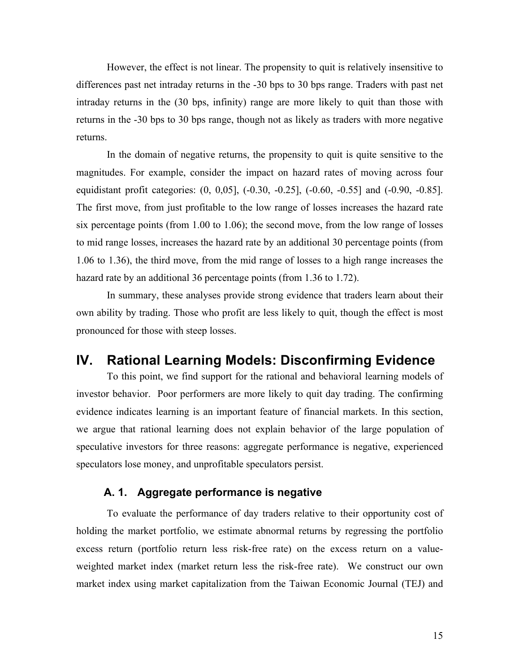However, the effect is not linear. The propensity to quit is relatively insensitive to differences past net intraday returns in the -30 bps to 30 bps range. Traders with past net intraday returns in the (30 bps, infinity) range are more likely to quit than those with returns in the -30 bps to 30 bps range, though not as likely as traders with more negative returns.

In the domain of negative returns, the propensity to quit is quite sensitive to the magnitudes. For example, consider the impact on hazard rates of moving across four equidistant profit categories: (0, 0,05], (-0.30, -0.25], (-0.60, -0.55] and (-0.90, -0.85]. The first move, from just profitable to the low range of losses increases the hazard rate six percentage points (from 1.00 to 1.06); the second move, from the low range of losses to mid range losses, increases the hazard rate by an additional 30 percentage points (from 1.06 to 1.36), the third move, from the mid range of losses to a high range increases the hazard rate by an additional 36 percentage points (from 1.36 to 1.72).

In summary, these analyses provide strong evidence that traders learn about their own ability by trading. Those who profit are less likely to quit, though the effect is most pronounced for those with steep losses.

# **IV. Rational Learning Models: Disconfirming Evidence**

To this point, we find support for the rational and behavioral learning models of investor behavior. Poor performers are more likely to quit day trading. The confirming evidence indicates learning is an important feature of financial markets. In this section, we argue that rational learning does not explain behavior of the large population of speculative investors for three reasons: aggregate performance is negative, experienced speculators lose money, and unprofitable speculators persist.

### **A. 1. Aggregate performance is negative**

To evaluate the performance of day traders relative to their opportunity cost of holding the market portfolio, we estimate abnormal returns by regressing the portfolio excess return (portfolio return less risk-free rate) on the excess return on a valueweighted market index (market return less the risk-free rate). We construct our own market index using market capitalization from the Taiwan Economic Journal (TEJ) and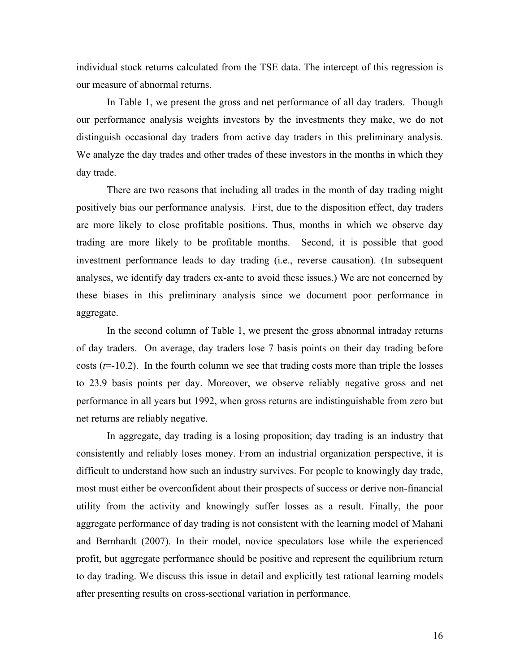individual stock returns calculated from the TSE data. The intercept of this regression is our measure of abnormal returns.

In Table 1, we present the gross and net performance of all day traders. Though our performance analysis weights investors by the investments they make, we do not distinguish occasional day traders from active day traders in this preliminary analysis. We analyze the day trades and other trades of these investors in the months in which they day trade.

There are two reasons that including all trades in the month of day trading might positively bias our performance analysis. First, due to the disposition effect, day traders are more likely to close profitable positions. Thus, months in which we observe day trading are more likely to be profitable months. Second, it is possible that good investment performance leads to day trading (i.e., reverse causation). (In subsequent analyses, we identify day traders ex-ante to avoid these issues.) We are not concerned by these biases in this preliminary analysis since we document poor performance in aggregate.

In the second column of Table 1, we present the gross abnormal intraday returns of day traders. On average, day traders lose 7 basis points on their day trading before costs  $(t=10.2)$ . In the fourth column we see that trading costs more than triple the losses to 23.9 basis points per day. Moreover, we observe reliably negative gross and net performance in all years but 1992, when gross returns are indistinguishable from zero but net returns are reliably negative.

In aggregate, day trading is a losing proposition; day trading is an industry that consistently and reliably loses money. From an industrial organization perspective, it is difficult to understand how such an industry survives. For people to knowingly day trade, most must either be overconfident about their prospects of success or derive non-financial utility from the activity and knowingly suffer losses as a result. Finally, the poor aggregate performance of day trading is not consistent with the learning model of Mahani and Bernhardt (2007). In their model, novice speculators lose while the experienced profit, but aggregate performance should be positive and represent the equilibrium return to day trading. We discuss this issue in detail and explicitly test rational learning models after presenting results on cross-sectional variation in performance.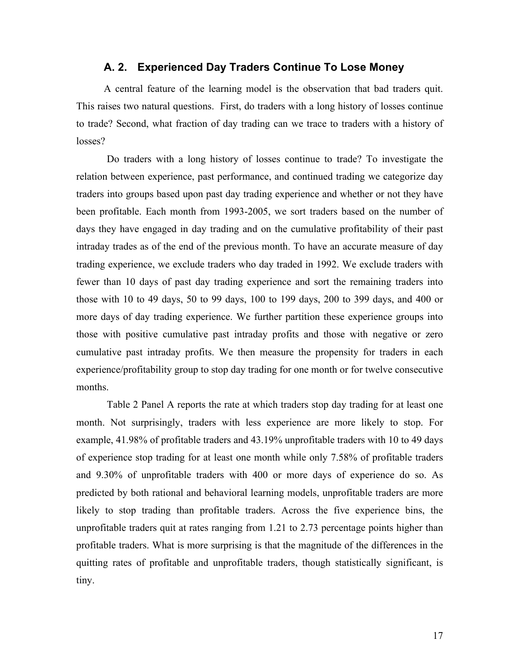#### **A. 2. Experienced Day Traders Continue To Lose Money**

A central feature of the learning model is the observation that bad traders quit. This raises two natural questions. First, do traders with a long history of losses continue to trade? Second, what fraction of day trading can we trace to traders with a history of losses?

Do traders with a long history of losses continue to trade? To investigate the relation between experience, past performance, and continued trading we categorize day traders into groups based upon past day trading experience and whether or not they have been profitable. Each month from 1993-2005, we sort traders based on the number of days they have engaged in day trading and on the cumulative profitability of their past intraday trades as of the end of the previous month. To have an accurate measure of day trading experience, we exclude traders who day traded in 1992. We exclude traders with fewer than 10 days of past day trading experience and sort the remaining traders into those with 10 to 49 days, 50 to 99 days, 100 to 199 days, 200 to 399 days, and 400 or more days of day trading experience. We further partition these experience groups into those with positive cumulative past intraday profits and those with negative or zero cumulative past intraday profits. We then measure the propensity for traders in each experience/profitability group to stop day trading for one month or for twelve consecutive months.

Table 2 Panel A reports the rate at which traders stop day trading for at least one month. Not surprisingly, traders with less experience are more likely to stop. For example, 41.98% of profitable traders and 43.19% unprofitable traders with 10 to 49 days of experience stop trading for at least one month while only 7.58% of profitable traders and 9.30% of unprofitable traders with 400 or more days of experience do so. As predicted by both rational and behavioral learning models, unprofitable traders are more likely to stop trading than profitable traders. Across the five experience bins, the unprofitable traders quit at rates ranging from 1.21 to 2.73 percentage points higher than profitable traders. What is more surprising is that the magnitude of the differences in the quitting rates of profitable and unprofitable traders, though statistically significant, is tiny.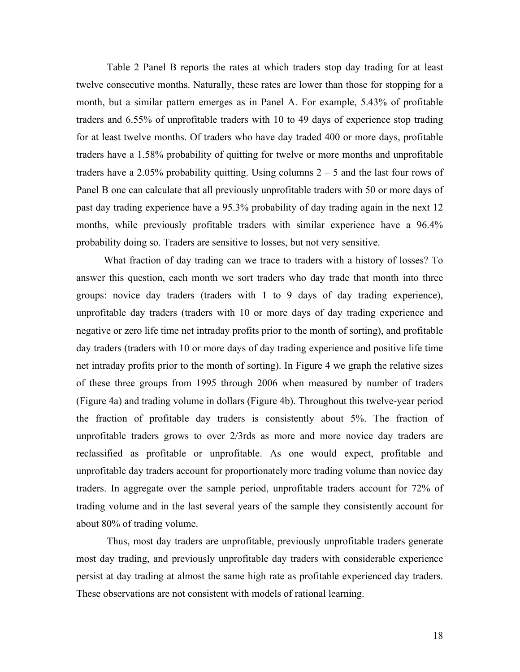Table 2 Panel B reports the rates at which traders stop day trading for at least twelve consecutive months. Naturally, these rates are lower than those for stopping for a month, but a similar pattern emerges as in Panel A. For example, 5.43% of profitable traders and 6.55% of unprofitable traders with 10 to 49 days of experience stop trading for at least twelve months. Of traders who have day traded 400 or more days, profitable traders have a 1.58% probability of quitting for twelve or more months and unprofitable traders have a 2.05% probability quitting. Using columns  $2 - 5$  and the last four rows of Panel B one can calculate that all previously unprofitable traders with 50 or more days of past day trading experience have a 95.3% probability of day trading again in the next 12 months, while previously profitable traders with similar experience have a 96.4% probability doing so. Traders are sensitive to losses, but not very sensitive.

What fraction of day trading can we trace to traders with a history of losses? To answer this question, each month we sort traders who day trade that month into three groups: novice day traders (traders with 1 to 9 days of day trading experience), unprofitable day traders (traders with 10 or more days of day trading experience and negative or zero life time net intraday profits prior to the month of sorting), and profitable day traders (traders with 10 or more days of day trading experience and positive life time net intraday profits prior to the month of sorting). In Figure 4 we graph the relative sizes of these three groups from 1995 through 2006 when measured by number of traders (Figure 4a) and trading volume in dollars (Figure 4b). Throughout this twelve-year period the fraction of profitable day traders is consistently about 5%. The fraction of unprofitable traders grows to over 2/3rds as more and more novice day traders are reclassified as profitable or unprofitable. As one would expect, profitable and unprofitable day traders account for proportionately more trading volume than novice day traders. In aggregate over the sample period, unprofitable traders account for 72% of trading volume and in the last several years of the sample they consistently account for about 80% of trading volume.

Thus, most day traders are unprofitable, previously unprofitable traders generate most day trading, and previously unprofitable day traders with considerable experience persist at day trading at almost the same high rate as profitable experienced day traders. These observations are not consistent with models of rational learning.

18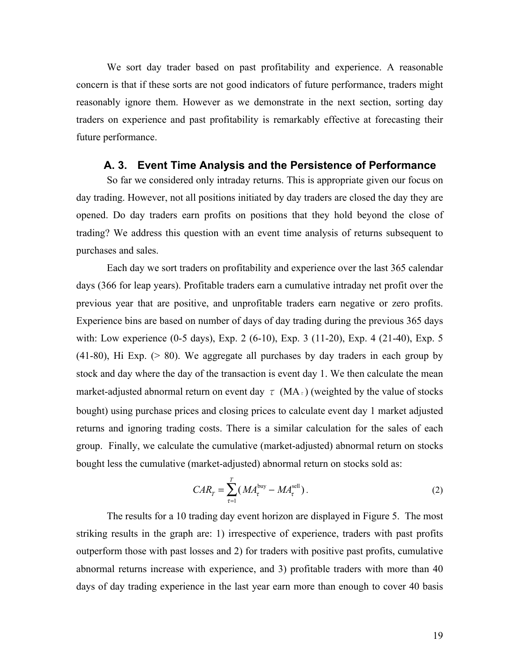We sort day trader based on past profitability and experience. A reasonable concern is that if these sorts are not good indicators of future performance, traders might reasonably ignore them. However as we demonstrate in the next section, sorting day traders on experience and past profitability is remarkably effective at forecasting their future performance.

#### **A. 3. Event Time Analysis and the Persistence of Performance**

So far we considered only intraday returns. This is appropriate given our focus on day trading. However, not all positions initiated by day traders are closed the day they are opened. Do day traders earn profits on positions that they hold beyond the close of trading? We address this question with an event time analysis of returns subsequent to purchases and sales.

Each day we sort traders on profitability and experience over the last 365 calendar days (366 for leap years). Profitable traders earn a cumulative intraday net profit over the previous year that are positive, and unprofitable traders earn negative or zero profits. Experience bins are based on number of days of day trading during the previous 365 days with: Low experience (0-5 days), Exp. 2 (6-10), Exp. 3 (11-20), Exp. 4 (21-40), Exp. 5 (41-80), Hi Exp. (> 80). We aggregate all purchases by day traders in each group by stock and day where the day of the transaction is event day 1. We then calculate the mean market-adjusted abnormal return on event day  $\tau$  (MA<sub> $\tau$ </sub>) (weighted by the value of stocks bought) using purchase prices and closing prices to calculate event day 1 market adjusted returns and ignoring trading costs. There is a similar calculation for the sales of each group. Finally, we calculate the cumulative (market-adjusted) abnormal return on stocks bought less the cumulative (market-adjusted) abnormal return on stocks sold as:

$$
CAR_{\tau} = \sum_{\tau=1}^{T} (MA_{\tau}^{\text{buy}} - MA_{\tau}^{\text{sell}}).
$$
 (2)

The results for a 10 trading day event horizon are displayed in Figure 5. The most striking results in the graph are: 1) irrespective of experience, traders with past profits outperform those with past losses and 2) for traders with positive past profits, cumulative abnormal returns increase with experience, and 3) profitable traders with more than 40 days of day trading experience in the last year earn more than enough to cover 40 basis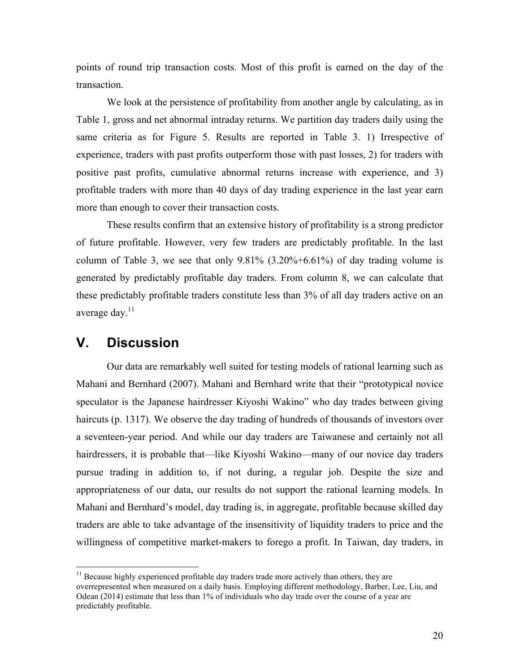points of round trip transaction costs. Most of this profit is earned on the day of the transaction.

We look at the persistence of profitability from another angle by calculating, as in Table 1, gross and net abnormal intraday returns. We partition day traders daily using the same criteria as for Figure 5. Results are reported in Table 3. 1) Irrespective of experience, traders with past profits outperform those with past losses, 2) for traders with positive past profits, cumulative abnormal returns increase with experience, and 3) profitable traders with more than 40 days of day trading experience in the last year earn more than enough to cover their transaction costs.

These results confirm that an extensive history of profitability is a strong predictor of future profitable. However, very few traders are predictably profitable. In the last column of Table 3, we see that only  $9.81\%$  (3.20%+6.61%) of day trading volume is generated by predictably profitable day traders. From column 8, we can calculate that these predictably profitable traders constitute less than 3% of all day traders active on an average day.<sup>11</sup>

## **V. Discussion**

Our data are remarkably well suited for testing models of rational learning such as Mahani and Bernhard (2007). Mahani and Bernhard write that their "prototypical novice speculator is the Japanese hairdresser Kiyoshi Wakino" who day trades between giving haircuts (p. 1317). We observe the day trading of hundreds of thousands of investors over a seventeen-year period. And while our day traders are Taiwanese and certainly not all hairdressers, it is probable that—like Kiyoshi Wakino—many of our novice day traders pursue trading in addition to, if not during, a regular job. Despite the size and appropriateness of our data, our results do not support the rational learning models. In Mahani and Bernhard's model, day trading is, in aggregate, profitable because skilled day traders are able to take advantage of the insensitivity of liquidity traders to price and the willingness of competitive market-makers to forego a profit. In Taiwan, day traders, in

<sup>&</sup>lt;sup>11</sup> Because highly experienced profitable day traders trade more actively than others, they are overrepresented when measured on a daily basis. Employing different methodology, Barber, Lee, Liu, and Odean (2014) estimate that less than 1% of individuals who day trade over the course of a year are predictably profitable.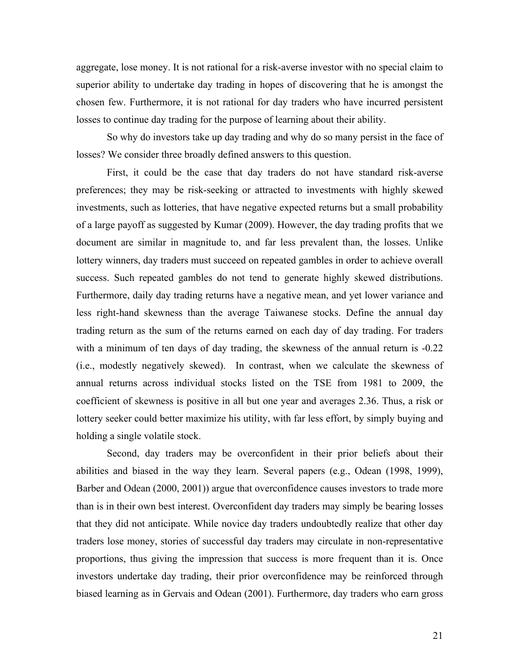aggregate, lose money. It is not rational for a risk-averse investor with no special claim to superior ability to undertake day trading in hopes of discovering that he is amongst the chosen few. Furthermore, it is not rational for day traders who have incurred persistent losses to continue day trading for the purpose of learning about their ability.

So why do investors take up day trading and why do so many persist in the face of losses? We consider three broadly defined answers to this question.

First, it could be the case that day traders do not have standard risk-averse preferences; they may be risk-seeking or attracted to investments with highly skewed investments, such as lotteries, that have negative expected returns but a small probability of a large payoff as suggested by Kumar (2009). However, the day trading profits that we document are similar in magnitude to, and far less prevalent than, the losses. Unlike lottery winners, day traders must succeed on repeated gambles in order to achieve overall success. Such repeated gambles do not tend to generate highly skewed distributions. Furthermore, daily day trading returns have a negative mean, and yet lower variance and less right-hand skewness than the average Taiwanese stocks. Define the annual day trading return as the sum of the returns earned on each day of day trading. For traders with a minimum of ten days of day trading, the skewness of the annual return is -0.22 (i.e., modestly negatively skewed). In contrast, when we calculate the skewness of annual returns across individual stocks listed on the TSE from 1981 to 2009, the coefficient of skewness is positive in all but one year and averages 2.36. Thus, a risk or lottery seeker could better maximize his utility, with far less effort, by simply buying and holding a single volatile stock.

Second, day traders may be overconfident in their prior beliefs about their abilities and biased in the way they learn. Several papers (e.g., Odean (1998, 1999), Barber and Odean (2000, 2001)) argue that overconfidence causes investors to trade more than is in their own best interest. Overconfident day traders may simply be bearing losses that they did not anticipate. While novice day traders undoubtedly realize that other day traders lose money, stories of successful day traders may circulate in non-representative proportions, thus giving the impression that success is more frequent than it is. Once investors undertake day trading, their prior overconfidence may be reinforced through biased learning as in Gervais and Odean (2001). Furthermore, day traders who earn gross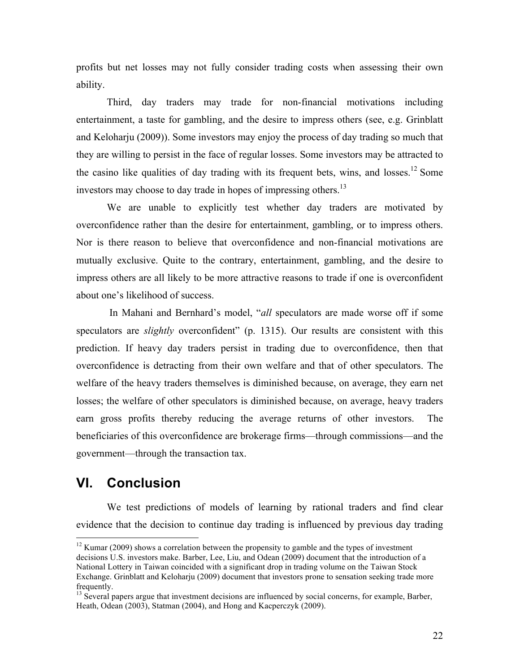profits but net losses may not fully consider trading costs when assessing their own ability.

Third, day traders may trade for non-financial motivations including entertainment, a taste for gambling, and the desire to impress others (see, e.g. Grinblatt and Keloharju (2009)). Some investors may enjoy the process of day trading so much that they are willing to persist in the face of regular losses. Some investors may be attracted to the casino like qualities of day trading with its frequent bets, wins, and losses.<sup>12</sup> Some investors may choose to day trade in hopes of impressing others.<sup>13</sup>

We are unable to explicitly test whether day traders are motivated by overconfidence rather than the desire for entertainment, gambling, or to impress others. Nor is there reason to believe that overconfidence and non-financial motivations are mutually exclusive. Quite to the contrary, entertainment, gambling, and the desire to impress others are all likely to be more attractive reasons to trade if one is overconfident about one's likelihood of success.

In Mahani and Bernhard's model, "*all* speculators are made worse off if some speculators are *slightly* overconfident" (p. 1315). Our results are consistent with this prediction. If heavy day traders persist in trading due to overconfidence, then that overconfidence is detracting from their own welfare and that of other speculators. The welfare of the heavy traders themselves is diminished because, on average, they earn net losses; the welfare of other speculators is diminished because, on average, heavy traders earn gross profits thereby reducing the average returns of other investors. The beneficiaries of this overconfidence are brokerage firms—through commissions—and the government—through the transaction tax.

# **VI. Conclusion**

We test predictions of models of learning by rational traders and find clear evidence that the decision to continue day trading is influenced by previous day trading

 $12$  Kumar (2009) shows a correlation between the propensity to gamble and the types of investment decisions U.S. investors make. Barber, Lee, Liu, and Odean (2009) document that the introduction of a National Lottery in Taiwan coincided with a significant drop in trading volume on the Taiwan Stock Exchange. Grinblatt and Keloharju (2009) document that investors prone to sensation seeking trade more frequently.

<sup>&</sup>lt;sup>13</sup> Several papers argue that investment decisions are influenced by social concerns, for example, Barber, Heath, Odean (2003), Statman (2004), and Hong and Kacperczyk (2009).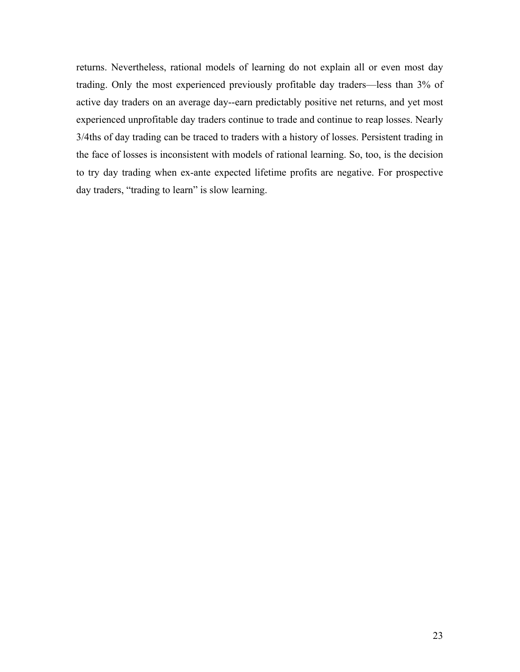returns. Nevertheless, rational models of learning do not explain all or even most day trading. Only the most experienced previously profitable day traders—less than 3% of active day traders on an average day--earn predictably positive net returns, and yet most experienced unprofitable day traders continue to trade and continue to reap losses. Nearly 3/4ths of day trading can be traced to traders with a history of losses. Persistent trading in the face of losses is inconsistent with models of rational learning. So, too, is the decision to try day trading when ex-ante expected lifetime profits are negative. For prospective day traders, "trading to learn" is slow learning.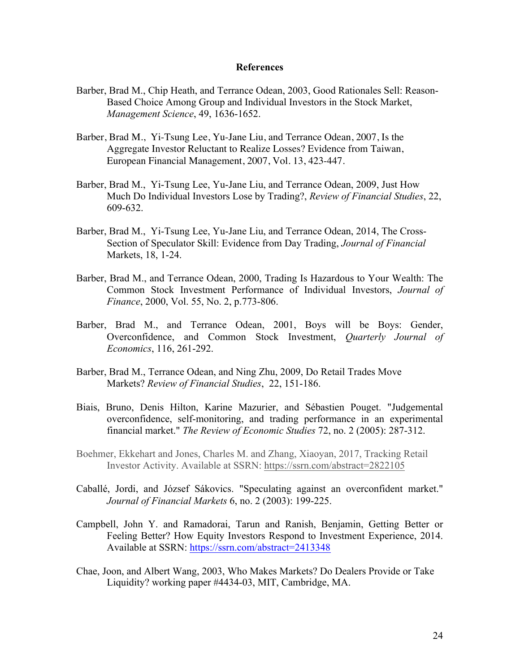#### **References**

- Barber, Brad M., Chip Heath, and Terrance Odean, 2003, Good Rationales Sell: Reason-Based Choice Among Group and Individual Investors in the Stock Market, *Management Science*, 49, 1636-1652.
- Barber, Brad M., Yi-Tsung Lee, Yu-Jane Liu, and Terrance Odean, 2007, Is the Aggregate Investor Reluctant to Realize Losses? Evidence from Taiwan, European Financial Management, 2007, Vol. 13, 423-447.
- Barber, Brad M., Yi-Tsung Lee, Yu-Jane Liu, and Terrance Odean, 2009, Just How Much Do Individual Investors Lose by Trading?, *Review of Financial Studies*, 22, 609-632.
- Barber, Brad M., Yi-Tsung Lee, Yu-Jane Liu, and Terrance Odean, 2014, The Cross-Section of Speculator Skill: Evidence from Day Trading, *Journal of Financial*  Markets, 18, 1-24.
- Barber, Brad M., and Terrance Odean, 2000, Trading Is Hazardous to Your Wealth: The Common Stock Investment Performance of Individual Investors, *Journal of Finance*, 2000, Vol. 55, No. 2, p.773-806.
- Barber, Brad M., and Terrance Odean, 2001, Boys will be Boys: Gender, Overconfidence, and Common Stock Investment, *Quarterly Journal of Economics*, 116, 261-292.
- Barber, Brad M., Terrance Odean, and Ning Zhu, 2009, Do Retail Trades Move Markets? *Review of Financial Studies*, 22, 151-186.
- Biais, Bruno, Denis Hilton, Karine Mazurier, and Sébastien Pouget. "Judgemental overconfidence, self-monitoring, and trading performance in an experimental financial market." *The Review of Economic Studies* 72, no. 2 (2005): 287-312.
- Boehmer, Ekkehart and Jones, Charles M. and Zhang, Xiaoyan, 2017, Tracking Retail Investor Activity. Available at SSRN: https://ssrn.com/abstract=2822105
- Caballé, Jordi, and József Sákovics. "Speculating against an overconfident market." *Journal of Financial Markets* 6, no. 2 (2003): 199-225.
- Campbell, John Y. and Ramadorai, Tarun and Ranish, Benjamin, Getting Better or Feeling Better? How Equity Investors Respond to Investment Experience, 2014. Available at SSRN: https://ssrn.com/abstract=2413348
- Chae, Joon, and Albert Wang, 2003, Who Makes Markets? Do Dealers Provide or Take Liquidity? working paper #4434-03, MIT, Cambridge, MA.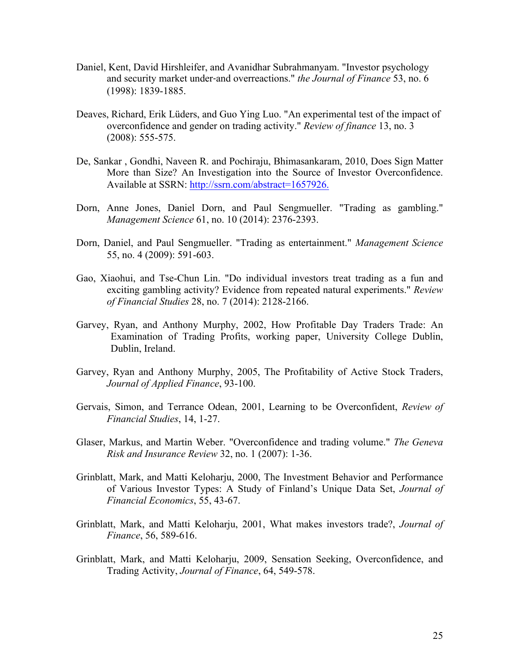- Daniel, Kent, David Hirshleifer, and Avanidhar Subrahmanyam. "Investor psychology and security market under‐and overreactions." *the Journal of Finance* 53, no. 6 (1998): 1839-1885.
- Deaves, Richard, Erik Lüders, and Guo Ying Luo. "An experimental test of the impact of overconfidence and gender on trading activity." *Review of finance* 13, no. 3 (2008): 555-575.
- De, Sankar , Gondhi, Naveen R. and Pochiraju, Bhimasankaram, 2010, Does Sign Matter More than Size? An Investigation into the Source of Investor Overconfidence. Available at SSRN: http://ssrn.com/abstract=1657926.
- Dorn, Anne Jones, Daniel Dorn, and Paul Sengmueller. "Trading as gambling." *Management Science* 61, no. 10 (2014): 2376-2393.
- Dorn, Daniel, and Paul Sengmueller. "Trading as entertainment." *Management Science* 55, no. 4 (2009): 591-603.
- Gao, Xiaohui, and Tse-Chun Lin. "Do individual investors treat trading as a fun and exciting gambling activity? Evidence from repeated natural experiments." *Review of Financial Studies* 28, no. 7 (2014): 2128-2166.
- Garvey, Ryan, and Anthony Murphy, 2002, How Profitable Day Traders Trade: An Examination of Trading Profits, working paper, University College Dublin, Dublin, Ireland.
- Garvey, Ryan and Anthony Murphy, 2005, The Profitability of Active Stock Traders, *Journal of Applied Finance*, 93-100.
- Gervais, Simon, and Terrance Odean, 2001, Learning to be Overconfident, *Review of Financial Studies*, 14, 1-27.
- Glaser, Markus, and Martin Weber. "Overconfidence and trading volume." *The Geneva Risk and Insurance Review* 32, no. 1 (2007): 1-36.
- Grinblatt, Mark, and Matti Keloharju, 2000, The Investment Behavior and Performance of Various Investor Types: A Study of Finland's Unique Data Set, *Journal of Financial Economics*, 55, 43-67.
- Grinblatt, Mark, and Matti Keloharju, 2001, What makes investors trade?, *Journal of Finance*, 56, 589-616.
- Grinblatt, Mark, and Matti Keloharju, 2009, Sensation Seeking, Overconfidence, and Trading Activity, *Journal of Finance*, 64, 549-578.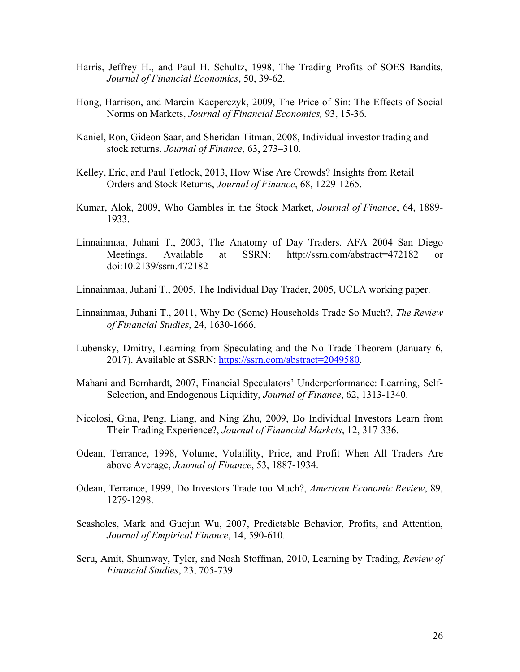- Harris, Jeffrey H., and Paul H. Schultz, 1998, The Trading Profits of SOES Bandits, *Journal of Financial Economics*, 50, 39-62.
- Hong, Harrison, and Marcin Kacperczyk, 2009, The Price of Sin: The Effects of Social Norms on Markets, *Journal of Financial Economics,* 93, 15-36.
- Kaniel, Ron, Gideon Saar, and Sheridan Titman, 2008, Individual investor trading and stock returns. *Journal of Finance*, 63, 273–310.
- Kelley, Eric, and Paul Tetlock, 2013, How Wise Are Crowds? Insights from Retail Orders and Stock Returns, *Journal of Finance*, 68, 1229-1265.
- Kumar, Alok, 2009, Who Gambles in the Stock Market, *Journal of Finance*, 64, 1889- 1933.
- Linnainmaa, Juhani T., 2003, The Anatomy of Day Traders. AFA 2004 San Diego Meetings. Available at SSRN: http://ssrn.com/abstract=472182 or doi:10.2139/ssrn.472182
- Linnainmaa, Juhani T., 2005, The Individual Day Trader, 2005, UCLA working paper.
- Linnainmaa, Juhani T., 2011, Why Do (Some) Households Trade So Much?, *The Review of Financial Studies*, 24, 1630-1666.
- Lubensky, Dmitry, Learning from Speculating and the No Trade Theorem (January 6, 2017). Available at SSRN: https://ssrn.com/abstract=2049580.
- Mahani and Bernhardt, 2007, Financial Speculators' Underperformance: Learning, Self-Selection, and Endogenous Liquidity, *Journal of Finance*, 62, 1313-1340.
- Nicolosi, Gina, Peng, Liang, and Ning Zhu, 2009, Do Individual Investors Learn from Their Trading Experience?, *Journal of Financial Markets*, 12, 317-336.
- Odean, Terrance, 1998, Volume, Volatility, Price, and Profit When All Traders Are above Average, *Journal of Finance*, 53, 1887-1934.
- Odean, Terrance, 1999, Do Investors Trade too Much?, *American Economic Review*, 89, 1279-1298.
- Seasholes, Mark and Guojun Wu, 2007, Predictable Behavior, Profits, and Attention, *Journal of Empirical Finance*, 14, 590-610.
- Seru, Amit, Shumway, Tyler, and Noah Stoffman, 2010, Learning by Trading, *Review of Financial Studies*, 23, 705-739.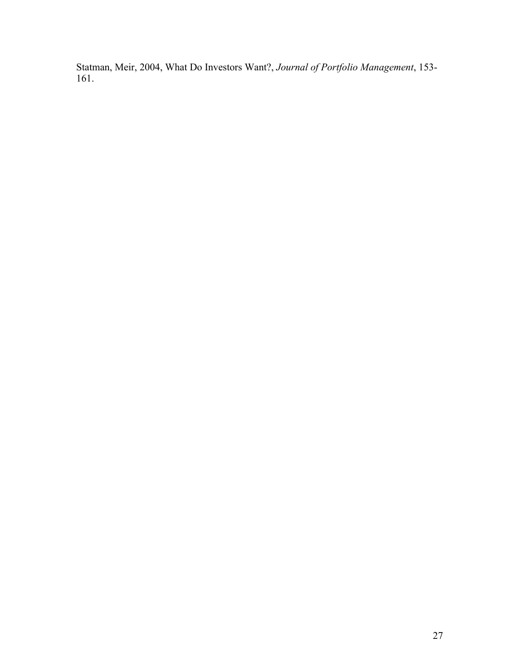Statman, Meir, 2004, What Do Investors Want?, *Journal of Portfolio Management*, 153- 161.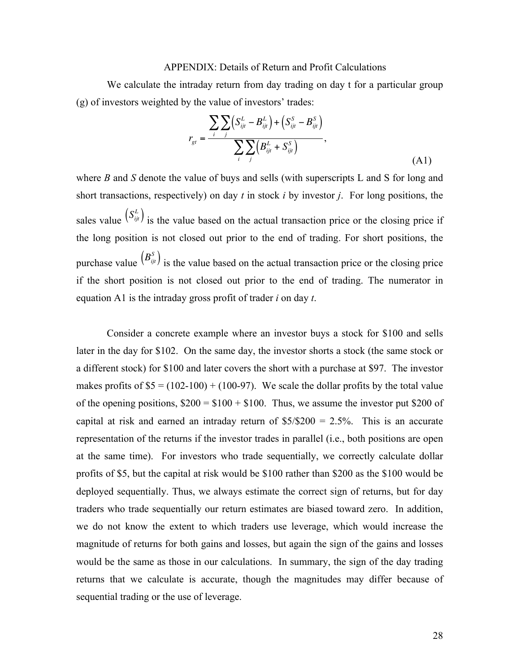#### APPENDIX: Details of Return and Profit Calculations

We calculate the intraday return from day trading on day t for a particular group (g) of investors weighted by the value of investors' trades:

$$
r_{gt} = \frac{\sum_{i} \sum_{j} (S_{ijt}^{L} - B_{ijt}^{L}) + (S_{ijt}^{S} - B_{ijt}^{S})}{\sum_{i} \sum_{j} (B_{ijt}^{L} + S_{ijt}^{S})},
$$
\n(A1)

where *B* and *S* denote the value of buys and sells (with superscripts L and S for long and short transactions, respectively) on day *t* in stock *i* by investor *j*. For long positions, the sales value  $(S_{ij}^L)$  is the value based on the actual transaction price or the closing price if the long position is not closed out prior to the end of trading. For short positions, the purchase value  $(B_{ij}^S)$  is the value based on the actual transaction price or the closing price if the short position is not closed out prior to the end of trading. The numerator in equation A1 is the intraday gross profit of trader *i* on day *t*. €  $\ddot{\phantom{0}}$ 

Consider a concrete example where an investor buys a stock for \$100 and sells later in the day for \$102. On the same day, the investor shorts a stock (the same stock or a different stock) for \$100 and later covers the short with a purchase at \$97. The investor makes profits of  $$5 = (102-100) + (100-97)$ . We scale the dollar profits by the total value of the opening positions,  $$200 = $100 + $100$ . Thus, we assume the investor put \$200 of capital at risk and earned an intraday return of  $$5/\$200 = 2.5\%$ . This is an accurate representation of the returns if the investor trades in parallel (i.e., both positions are open at the same time). For investors who trade sequentially, we correctly calculate dollar profits of \$5, but the capital at risk would be \$100 rather than \$200 as the \$100 would be deployed sequentially. Thus, we always estimate the correct sign of returns, but for day traders who trade sequentially our return estimates are biased toward zero. In addition, we do not know the extent to which traders use leverage, which would increase the magnitude of returns for both gains and losses, but again the sign of the gains and losses would be the same as those in our calculations. In summary, the sign of the day trading returns that we calculate is accurate, though the magnitudes may differ because of sequential trading or the use of leverage.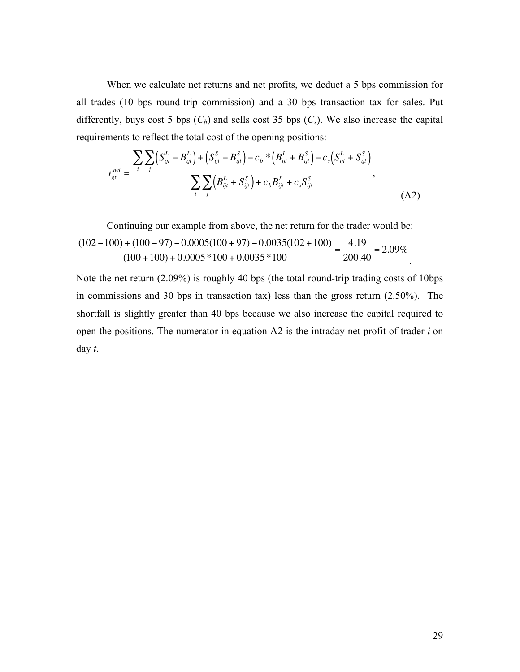When we calculate net returns and net profits, we deduct a 5 bps commission for all trades (10 bps round-trip commission) and a 30 bps transaction tax for sales. Put differently, buys cost 5 bps  $(C_b)$  and sells cost 35 bps  $(C_s)$ . We also increase the capital requirements to reflect the total cost of the opening positions:

$$
r_{gt}^{net} = \frac{\sum_{i} \sum_{j} (S_{ijt}^{L} - B_{ijt}^{L}) + (S_{ijt}^{S} - B_{ijt}^{S}) - c_{b} * (B_{ijt}^{L} + B_{ijt}^{S}) - c_{s} (S_{ijt}^{L} + S_{ijt}^{S})}{\sum_{i} \sum_{j} (B_{ijt}^{L} + S_{ijt}^{S}) + c_{b} B_{ijt}^{L} + c_{s} S_{ijt}^{S}},
$$
(A2)

Continuing our example from above, the net return for the tradeer would be:  
\n
$$
\frac{(102-100)+(100-97)-0.0005(100+97)-0.0035(102+100)}{(100+100)+0.0005*100+0.0035*100} = \frac{4.19}{200.40} = 2.09\%
$$

Note the net return (2.09%) is roughly 40 bps (the total round-trip trading costs of 10bps in commissions and 30 bps in transaction tax) less than the gross return (2.50%). The shortfall is slightly greater than 40 bps because we also increase the capital required to open the positions. The numerator in equation A2 is the intraday net profit of trader *i* on day *t*.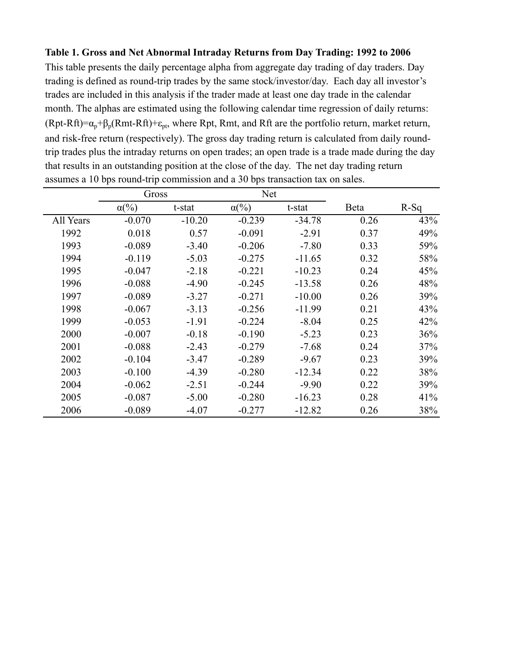#### **Table 1. Gross and Net Abnormal Intraday Returns from Day Trading: 1992 to 2006**

This table presents the daily percentage alpha from aggregate day trading of day traders. Day trading is defined as round-trip trades by the same stock/investor/day. Each day all investor's trades are included in this analysis if the trader made at least one day trade in the calendar month. The alphas are estimated using the following calendar time regression of daily returns:  $(Rpt-Rft)=\alpha_p+\beta_p(Rmt-Rft)+\epsilon_{pt}$ , where Rpt, Rmt, and Rft are the portfolio return, market return, and risk-free return (respectively). The gross day trading return is calculated from daily roundtrip trades plus the intraday returns on open trades; an open trade is a trade made during the day that results in an outstanding position at the close of the day. The net day trading return assumes a 10 bps round-trip commission and a 30 bps transaction tax on sales.

|           | Gross                   |          | <b>Net</b>              |          |      |        |
|-----------|-------------------------|----------|-------------------------|----------|------|--------|
|           | $\alpha$ <sup>(%)</sup> | t-stat   | $\alpha$ <sup>(%)</sup> | t-stat   | Beta | $R-Sq$ |
| All Years | $-0.070$                | $-10.20$ | $-0.239$                | $-34.78$ | 0.26 | 43%    |
| 1992      | 0.018                   | 0.57     | $-0.091$                | $-2.91$  | 0.37 | 49%    |
| 1993      | $-0.089$                | $-3.40$  | $-0.206$                | $-7.80$  | 0.33 | 59%    |
| 1994      | $-0.119$                | $-5.03$  | $-0.275$                | $-11.65$ | 0.32 | 58%    |
| 1995      | $-0.047$                | $-2.18$  | $-0.221$                | $-10.23$ | 0.24 | 45%    |
| 1996      | $-0.088$                | $-4.90$  | $-0.245$                | $-13.58$ | 0.26 | 48%    |
| 1997      | $-0.089$                | $-3.27$  | $-0.271$                | $-10.00$ | 0.26 | 39%    |
| 1998      | $-0.067$                | $-3.13$  | $-0.256$                | $-11.99$ | 0.21 | 43%    |
| 1999      | $-0.053$                | $-1.91$  | $-0.224$                | $-8.04$  | 0.25 | 42%    |
| 2000      | $-0.007$                | $-0.18$  | $-0.190$                | $-5.23$  | 0.23 | 36%    |
| 2001      | $-0.088$                | $-2.43$  | $-0.279$                | $-7.68$  | 0.24 | 37%    |
| 2002      | $-0.104$                | $-3.47$  | $-0.289$                | $-9.67$  | 0.23 | 39%    |
| 2003      | $-0.100$                | $-4.39$  | $-0.280$                | $-12.34$ | 0.22 | 38%    |
| 2004      | $-0.062$                | $-2.51$  | $-0.244$                | $-9.90$  | 0.22 | 39%    |
| 2005      | $-0.087$                | $-5.00$  | $-0.280$                | $-16.23$ | 0.28 | 41%    |
| 2006      | $-0.089$                | $-4.07$  | $-0.277$                | $-12.82$ | 0.26 | 38%    |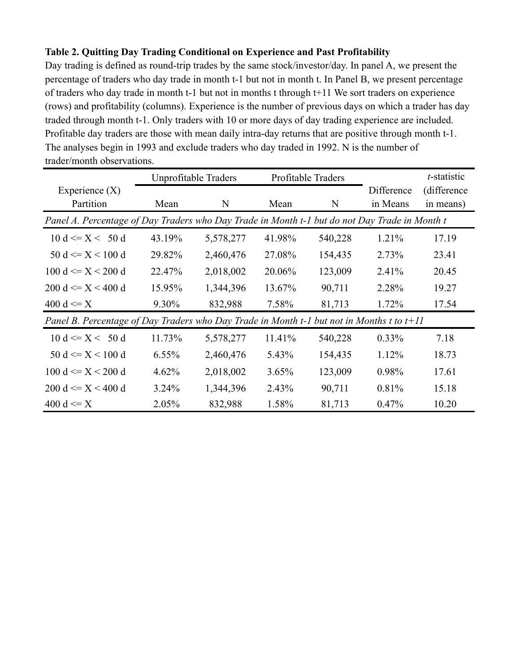### **Table 2. Quitting Day Trading Conditional on Experience and Past Profitability**

Day trading is defined as round-trip trades by the same stock/investor/day. In panel A, we present the percentage of traders who day trade in month t-1 but not in month t. In Panel B, we present percentage of traders who day trade in month t-1 but not in months t through t+11 We sort traders on experience (rows) and profitability (columns). Experience is the number of previous days on which a trader has day traded through month t-1. Only traders with 10 or more days of day trading experience are included. Profitable day traders are those with mean daily intra-day returns that are positive through month t-1. The analyses begin in 1993 and exclude traders who day traded in 1992. N is the number of trader/month observations.

|                                                                                               | Unprofitable Traders |           |        | Profitable Traders |            | t-statistic |  |  |
|-----------------------------------------------------------------------------------------------|----------------------|-----------|--------|--------------------|------------|-------------|--|--|
| Experience $(X)$                                                                              |                      |           |        |                    | Difference | (difference |  |  |
| Partition                                                                                     | Mean                 | N         | Mean   | N                  | in Means   | in means)   |  |  |
| Panel A. Percentage of Day Traders who Day Trade in Month t-1 but do not Day Trade in Month t |                      |           |        |                    |            |             |  |  |
| $10 d \leq X \leq 50 d$                                                                       | 43.19%               | 5,578,277 | 41.98% | 540,228            | $1.21\%$   | 17.19       |  |  |
| 50 d $\leq$ X $\leq$ 100 d                                                                    | 29.82%               | 2,460,476 | 27.08% | 154,435            | 2.73%      | 23.41       |  |  |
| $100 d \leq X \leq 200 d$                                                                     | 22.47%               | 2,018,002 | 20.06% | 123,009            | 2.41%      | 20.45       |  |  |
| $200 d \leq X \leq 400 d$                                                                     | 15.95%               | 1,344,396 | 13.67% | 90,711             | 2.28%      | 19.27       |  |  |
| 400 d $\leq$ X                                                                                | 9.30%                | 832,988   | 7.58%  | 81,713             | 1.72%      | 17.54       |  |  |
| Panel B. Percentage of Day Traders who Day Trade in Month t-1 but not in Months t to $t+11$   |                      |           |        |                    |            |             |  |  |
| $10 d \leq X \leq 50 d$                                                                       | 11.73%               | 5,578,277 | 11.41% | 540,228            | $0.33\%$   | 7.18        |  |  |
| $50 d \leq X \leq 100 d$                                                                      | $6.55\%$             | 2,460,476 | 5.43%  | 154,435            | 1.12%      | 18.73       |  |  |
| 100 d $\leq$ $X$ < 200 d                                                                      | $4.62\%$             | 2,018,002 | 3.65%  | 123,009            | 0.98%      | 17.61       |  |  |
| $200 d \leq X \leq 400 d$                                                                     | $3.24\%$             | 1,344,396 | 2.43%  | 90,711             | 0.81%      | 15.18       |  |  |
| 400 d $\leq$ X                                                                                | 2.05%                | 832,988   | 1.58%  | 81,713             | 0.47%      | 10.20       |  |  |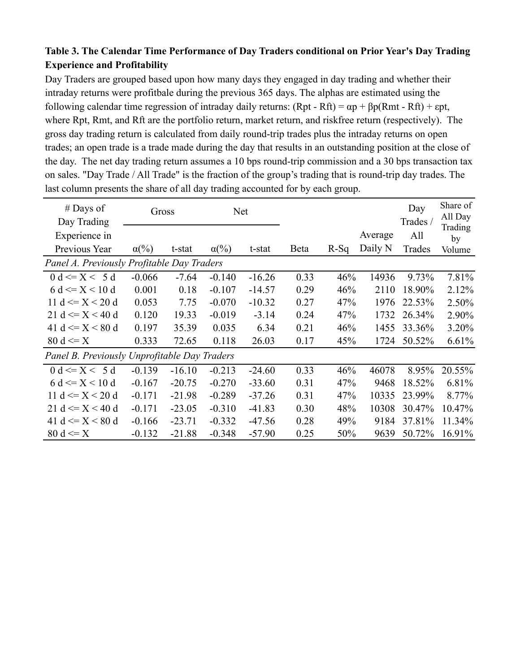### **Table 3. The Calendar Time Performance of Day Traders conditional on Prior Year's Day Trading Experience and Profitability**

Day Traders are grouped based upon how many days they engaged in day trading and whether their intraday returns were profitbale during the previous 365 days. The alphas are estimated using the following calendar time regression of intraday daily returns:  $(Rpt - Rft) = \alpha p + \beta p(Rmt - Rft) + \epsilon pt$ , where Rpt, Rmt, and Rft are the portfolio return, market return, and riskfree return (respectively). The gross day trading return is calculated from daily round-trip trades plus the intraday returns on open trades; an open trade is a trade made during the day that results in an outstanding position at the close of the day. The net day trading return assumes a 10 bps round-trip commission and a 30 bps transaction tax on sales. "Day Trade / All Trade" is the fraction of the group's trading that is round-trip day trades. The last column presents the share of all day trading accounted for by each group.

| $#$ Days of<br>Day Trading                   | Gross                   |          | <b>Net</b>              |          |      |        |         | Day<br>Trades / | Share of<br>All Day<br>Trading |
|----------------------------------------------|-------------------------|----------|-------------------------|----------|------|--------|---------|-----------------|--------------------------------|
| Experience in                                |                         |          |                         |          |      |        | Average | All             | by                             |
| Previous Year                                | $\alpha$ <sup>(%)</sup> | t-stat   | $\alpha$ <sup>(%)</sup> | t-stat   | Beta | $R-Sq$ | Daily N | Trades          | Volume                         |
| Panel A. Previously Profitable Day Traders   |                         |          |                         |          |      |        |         |                 |                                |
| $0 d \leq X < 5 d$                           | $-0.066$                | $-7.64$  | $-0.140$                | $-16.26$ | 0.33 | 46%    | 14936   | 9.73%           | 7.81%                          |
| 6 d $\leq$ $X$ < 10 d                        | 0.001                   | 0.18     | $-0.107$                | $-14.57$ | 0.29 | 46%    | 2110    | 18.90%          | 2.12%                          |
| 11 d $\leq$ $X$ < 20 d                       | 0.053                   | 7.75     | $-0.070$                | $-10.32$ | 0.27 | 47%    | 1976    | 22.53%          | 2.50%                          |
| 21 d $\leq$ X $<$ 40 d                       | 0.120                   | 19.33    | $-0.019$                | $-3.14$  | 0.24 | 47%    | 1732    | 26.34%          | 2.90%                          |
| 41 d $\leq$ $X$ $<$ 80 d                     | 0.197                   | 35.39    | 0.035                   | 6.34     | 0.21 | 46%    | 1455    | 33.36%          | 3.20%                          |
| 80 d $\leq$ X                                | 0.333                   | 72.65    | 0.118                   | 26.03    | 0.17 | 45%    | 1724    | 50.52%          | 6.61%                          |
| Panel B. Previously Unprofitable Day Traders |                         |          |                         |          |      |        |         |                 |                                |
| 0 d $\leq$ $X \leq 5$ d                      | $-0.139$                | $-16.10$ | $-0.213$                | $-24.60$ | 0.33 | 46%    | 46078   | 8.95%           | 20.55%                         |
| 6 d $\leq$ X $<$ 10 d                        | $-0.167$                | $-20.75$ | $-0.270$                | $-33.60$ | 0.31 | 47%    | 9468    | 18.52%          | 6.81%                          |
| 11 d $\leq$ $X$ < 20 d                       | $-0.171$                | $-21.98$ | $-0.289$                | $-37.26$ | 0.31 | 47%    | 10335   | 23.99%          | 8.77%                          |
| 21 d $\leq$ X $<$ 40 d                       | $-0.171$                | $-23.05$ | $-0.310$                | $-41.83$ | 0.30 | 48%    | 10308   | 30.47%          | 10.47%                         |
| 41 d $\leq$ $X$ $<$ 80 d                     | $-0.166$                | $-23.71$ | $-0.332$                | $-47.56$ | 0.28 | 49%    | 9184    | 37.81%          | 11.34%                         |
| 80 d $\leq$ X                                | $-0.132$                | $-21.88$ | $-0.348$                | $-57.90$ | 0.25 | 50%    | 9639    | 50.72%          | 16.91%                         |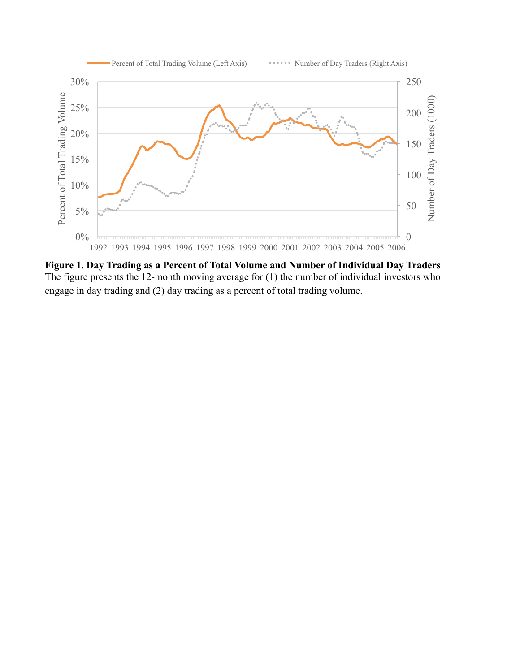

**Figure 1. Day Trading as a Percent of Total Volume and Number of Individual Day Traders** The figure presents the 12-month moving average for (1) the number of individual investors who engage in day trading and (2) day trading as a percent of total trading volume.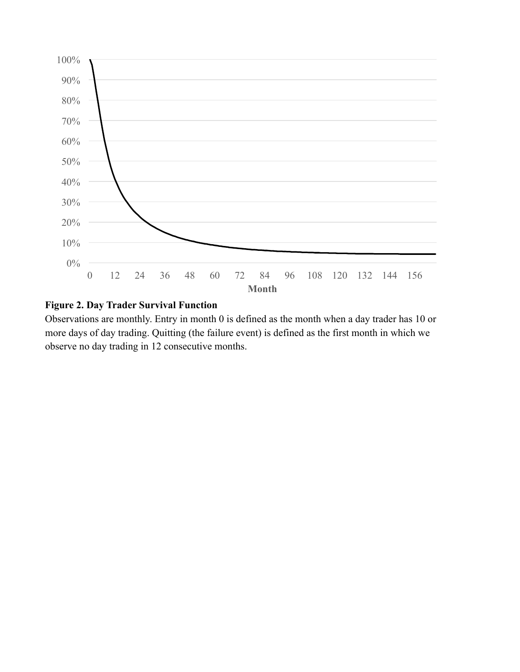

### **Figure 2. Day Trader Survival Function**

Observations are monthly. Entry in month 0 is defined as the month when a day trader has 10 or more days of day trading. Quitting (the failure event) is defined as the first month in which we observe no day trading in 12 consecutive months.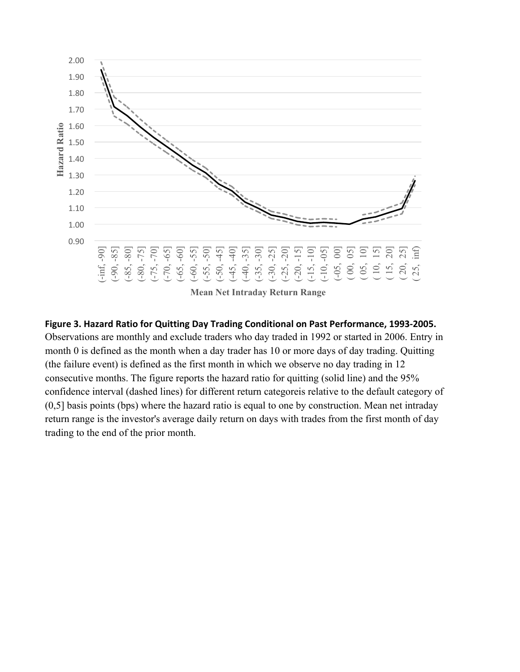

# Figure 3. Hazard Ratio for Quitting Day Trading Conditional on Past Performance, 1993-2005. Observations are monthly and exclude traders who day traded in 1992 or started in 2006. Entry in month 0 is defined as the month when a day trader has 10 or more days of day trading. Quitting (the failure event) is defined as the first month in which we observe no day trading in 12 consecutive months. The figure reports the hazard ratio for quitting (solid line) and the 95% confidence interval (dashed lines) for different return categoreis relative to the default category of (0,5] basis points (bps) where the hazard ratio is equal to one by construction. Mean net intraday return range is the investor's average daily return on days with trades from the first month of day trading to the end of the prior month.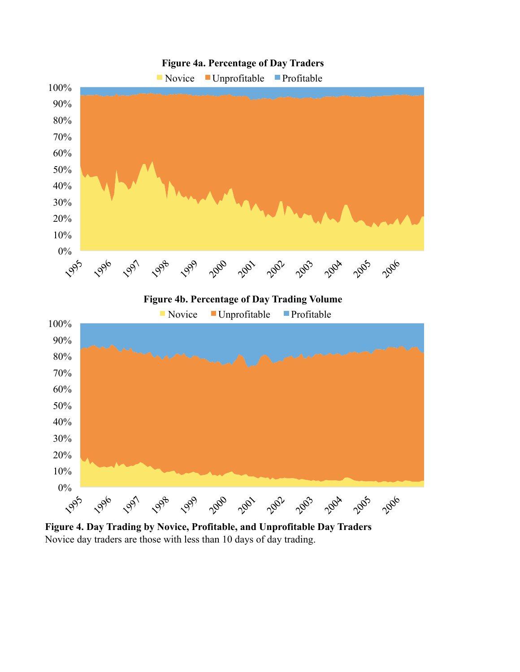

**Figure 4. Day Trading by Novice, Profitable, and Unprofitable Day Traders** Novice day traders are those with less than 10 days of day trading.